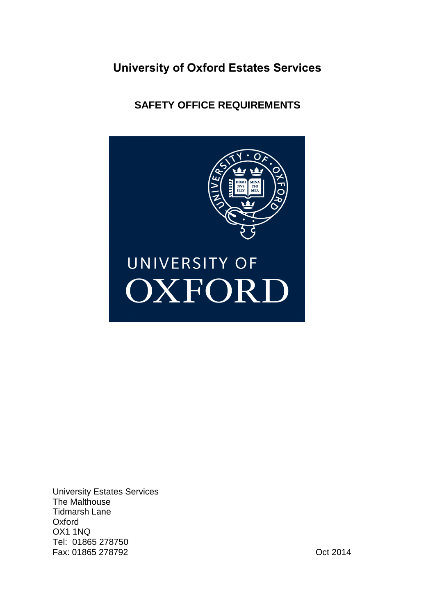# **University of Oxford Estates Services**

# **SAFETY OFFICE REQUIREMENTS**



University Estates Services The Malthouse Tidmarsh Lane **Oxford** OX1 1NQ Tel: 01865 278750 Fax: 01865 278792 Oct 2014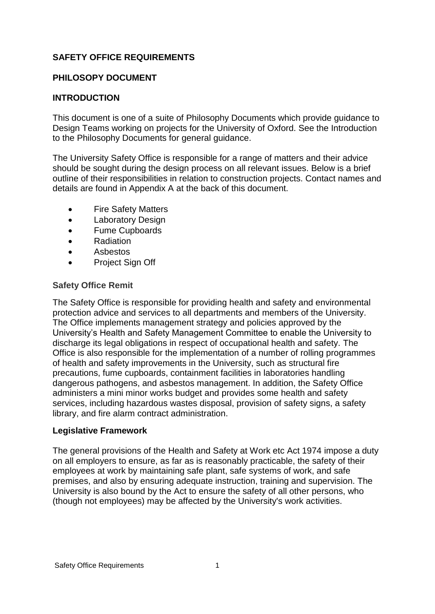# **SAFETY OFFICE REQUIREMENTS**

## **PHILOSOPY DOCUMENT**

# **INTRODUCTION**

This document is one of a suite of Philosophy Documents which provide guidance to Design Teams working on projects for the University of Oxford. See the Introduction to the Philosophy Documents for general guidance.

The University Safety Office is responsible for a range of matters and their advice should be sought during the design process on all relevant issues. Below is a brief outline of their responsibilities in relation to construction projects. Contact names and details are found in Appendix A at the back of this document.

- Fire Safety Matters
- Laboratory Design
- Fume Cupboards
- Radiation
- Asbestos
- Project Sign Off

## **Safety Office Remit**

The Safety Office is responsible for providing health and safety and environmental protection advice and services to all departments and members of the University. The Office implements management strategy and policies approved by the University's Health and Safety Management Committee to enable the University to discharge its legal obligations in respect of occupational health and safety. The Office is also responsible for the implementation of a number of rolling programmes of health and safety improvements in the University, such as structural fire precautions, fume cupboards, containment facilities in laboratories handling dangerous pathogens, and asbestos management. In addition, the Safety Office administers a mini minor works budget and provides some health and safety services, including hazardous wastes disposal, provision of safety signs, a safety library, and fire alarm contract administration.

## **Legislative Framework**

The general provisions of the Health and Safety at Work etc Act 1974 impose a duty on all employers to ensure, as far as is reasonably practicable, the safety of their employees at work by maintaining safe plant, safe systems of work, and safe premises, and also by ensuring adequate instruction, training and supervision. The University is also bound by the Act to ensure the safety of all other persons, who (though not employees) may be affected by the University's work activities.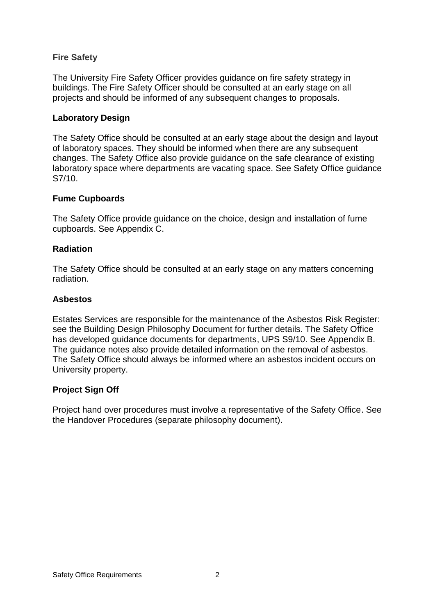## **Fire Safety**

The University Fire Safety Officer provides guidance on fire safety strategy in buildings. The Fire Safety Officer should be consulted at an early stage on all projects and should be informed of any subsequent changes to proposals.

## **Laboratory Design**

The Safety Office should be consulted at an early stage about the design and layout of laboratory spaces. They should be informed when there are any subsequent changes. The Safety Office also provide guidance on the safe clearance of existing laboratory space where departments are vacating space. See Safety Office guidance S7/10.

## **Fume Cupboards**

The Safety Office provide guidance on the choice, design and installation of fume cupboards. See Appendix C.

## **Radiation**

The Safety Office should be consulted at an early stage on any matters concerning radiation.

#### **Asbestos**

Estates Services are responsible for the maintenance of the Asbestos Risk Register: see the Building Design Philosophy Document for further details. The Safety Office has developed guidance documents for departments, UPS S9/10. See Appendix B. The guidance notes also provide detailed information on the removal of asbestos. The Safety Office should always be informed where an asbestos incident occurs on University property.

## **Project Sign Off**

Project hand over procedures must involve a representative of the Safety Office. See the Handover Procedures (separate philosophy document).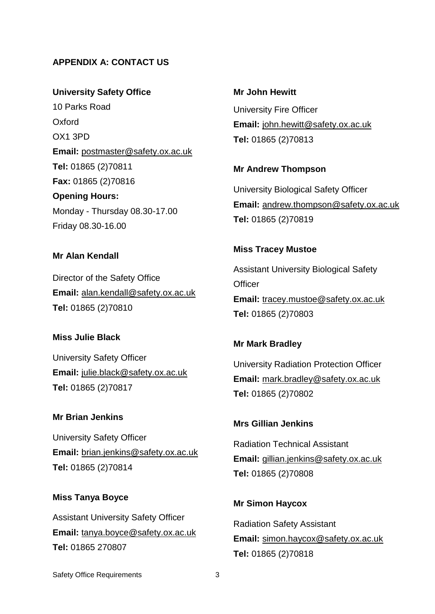# **APPENDIX A: CONTACT US**

**University Safety Office** 10 Parks Road Oxford OX1 3PD **Email:** [postmaster@safety.ox.ac.uk](mailto:postmaster@safety.ox.ac.uk) **Tel:** 01865 (2)70811 **Fax:** 01865 (2)70816 **Opening Hours:**  Monday - Thursday 08.30-17.00 Friday 08.30-16.00

**Mr Alan Kendall**

Director of the Safety Office **Email:** [alan.kendall@safety.ox.ac.uk](mailto:alan.kendall@safety.ox.ac.uk) **Tel:** 01865 (2)70810

#### **Miss Julie Black**

University Safety Officer **Email:** [julie.black@safety.ox.ac.uk](mailto:julie.black@safety.ox.ac.uk) **Tel:** 01865 (2)70817

#### **Mr Brian Jenkins**

University Safety Officer **Email:** [brian.jenkins@safety.ox.ac.uk](mailto:brian.jenkins@safety.ox.ac.uk) **Tel:** 01865 (2)70814

#### **Miss Tanya Boyce**

Assistant University Safety Officer **Email:** [tanya.boyce@safety.ox.ac.uk](mailto:tanya.boyce@safety.ox.ac.uk) **Tel:** 01865 270807

**Mr John Hewitt** University Fire Officer **Email:** [john.hewitt@safety.ox.ac.uk](mailto:john.hewitt@safety.ox.ac.uk) **Tel:** 01865 (2)70813

#### **Mr Andrew Thompson**

University Biological Safety Officer **Email:** [andrew.thompson@safety.ox.ac.uk](mailto:andrew.thompson@safety.ox.ac.uk) **Tel:** 01865 (2)70819

#### **Miss Tracey Mustoe**

Assistant University Biological Safety **Officer Email:** [tracey.mustoe@safety.ox.ac.uk](mailto:tracey.mustoe@safety.ox.ac.uk) **Tel:** 01865 (2)70803

**Mr Mark Bradley**

University Radiation Protection Officer **Email:** [mark.bradley@safety.ox.ac.uk](mailto:mark.bradley@safety.ox.ac.uk) **Tel:** 01865 (2)70802

#### **Mrs Gillian Jenkins**

Radiation Technical Assistant **Email:** [gillian.jenkins@safety.ox.ac.uk](mailto:gillian.jenkins@safety.ox.ac.uk) **Tel:** 01865 (2)70808

#### **Mr Simon Haycox**

Radiation Safety Assistant **Email:** [simon.haycox@safety.ox.ac.uk](mailto:simon.haycox@safety.ox.ac.uk) **Tel:** 01865 (2)70818

Safety Office Requirements 3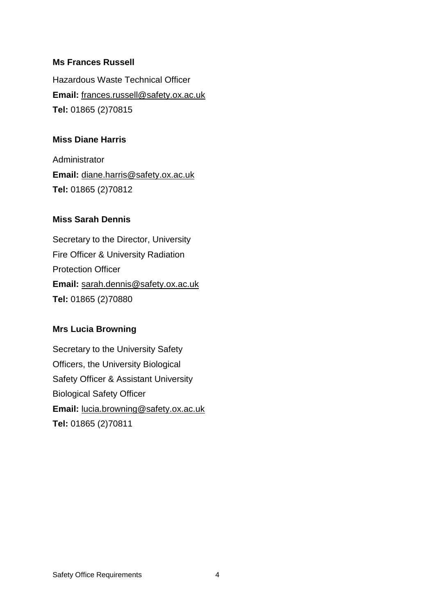### **Ms Frances Russell**

Hazardous Waste Technical Officer **Email:** [frances.russell@safety.ox.ac.uk](mailto:frances.russell@safety.ox.ac.uk) **Tel:** 01865 (2)70815

#### **Miss Diane Harris**

Administrator **Email:** [diane.harris@safety.ox.ac.uk](mailto:diane.harris@safety.ox.ac.uk) **Tel:** 01865 (2)70812

## **Miss Sarah Dennis**

Secretary to the Director, University Fire Officer & University Radiation Protection Officer **Email:** [sarah.dennis@safety.ox.ac.uk](mailto:sarah.dennis@safety.ox.ac.uk) **Tel:** 01865 (2)70880

#### **Mrs Lucia Browning**

Secretary to the University Safety Officers, the University Biological Safety Officer & Assistant University Biological Safety Officer **Email:** [lucia.browning@safety.ox.ac.uk](mailto:lucia.browning@safety.ox.ac.uk) **Tel:** 01865 (2)70811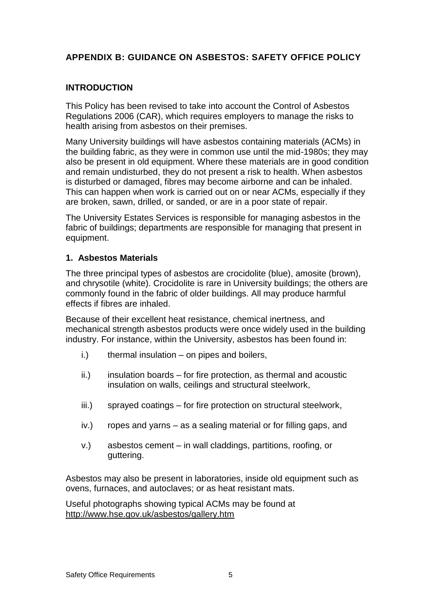# **APPENDIX B: GUIDANCE ON ASBESTOS: SAFETY OFFICE POLICY**

# **INTRODUCTION**

This Policy has been revised to take into account the Control of Asbestos Regulations 2006 (CAR), which requires employers to manage the risks to health arising from asbestos on their premises.

Many University buildings will have asbestos containing materials (ACMs) in the building fabric, as they were in common use until the mid-1980s; they may also be present in old equipment. Where these materials are in good condition and remain undisturbed, they do not present a risk to health. When asbestos is disturbed or damaged, fibres may become airborne and can be inhaled. This can happen when work is carried out on or near ACMs, especially if they are broken, sawn, drilled, or sanded, or are in a poor state of repair.

The University Estates Services is responsible for managing asbestos in the fabric of buildings; departments are responsible for managing that present in equipment.

## **1. Asbestos Materials**

The three principal types of asbestos are crocidolite (blue), amosite (brown), and chrysotile (white). Crocidolite is rare in University buildings; the others are commonly found in the fabric of older buildings. All may produce harmful effects if fibres are inhaled.

Because of their excellent heat resistance, chemical inertness, and mechanical strength asbestos products were once widely used in the building industry. For instance, within the University, asbestos has been found in:

- i.) thermal insulation on pipes and boilers,
- $ii.)$  insulation boards for fire protection, as thermal and acoustic insulation on walls, ceilings and structural steelwork,
- iii.) sprayed coatings for fire protection on structural steelwork,
- iv.) ropes and yarns as a sealing material or for filling gaps, and
- v.) asbestos cement in wall claddings, partitions, roofing, or guttering.

Asbestos may also be present in laboratories, inside old equipment such as ovens, furnaces, and autoclaves; or as heat resistant mats.

Useful photographs showing typical ACMs may be found at <http://www.hse.gov.uk/asbestos/gallery.htm>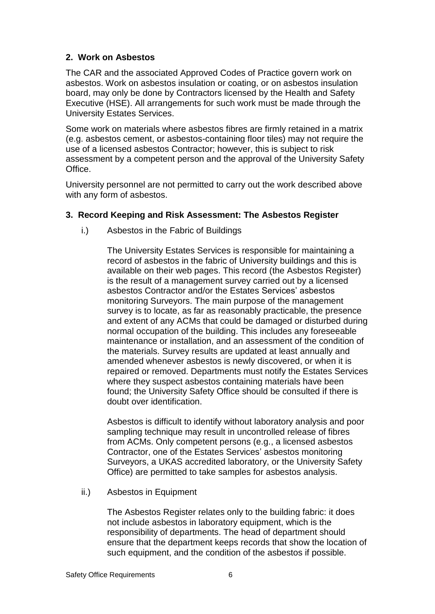# **2. Work on Asbestos**

The CAR and the associated Approved Codes of Practice govern work on asbestos. Work on asbestos insulation or coating, or on asbestos insulation board, may only be done by Contractors licensed by the Health and Safety Executive (HSE). All arrangements for such work must be made through the University Estates Services.

Some work on materials where asbestos fibres are firmly retained in a matrix (e.g. asbestos cement, or asbestos-containing floor tiles) may not require the use of a licensed asbestos Contractor; however, this is subject to risk assessment by a competent person and the approval of the University Safety Office.

University personnel are not permitted to carry out the work described above with any form of asbestos.

## **3. Record Keeping and Risk Assessment: The Asbestos Register**

i.) Asbestos in the Fabric of Buildings

The University Estates Services is responsible for maintaining a record of asbestos in the fabric of University buildings and this is available on their web pages. This record (the Asbestos Register) is the result of a management survey carried out by a licensed asbestos Contractor and/or the Estates Services' asbestos monitoring Surveyors. The main purpose of the management survey is to locate, as far as reasonably practicable, the presence and extent of any ACMs that could be damaged or disturbed during normal occupation of the building. This includes any foreseeable maintenance or installation, and an assessment of the condition of the materials. Survey results are updated at least annually and amended whenever asbestos is newly discovered, or when it is repaired or removed. Departments must notify the Estates Services where they suspect asbestos containing materials have been found; the University Safety Office should be consulted if there is doubt over identification.

Asbestos is difficult to identify without laboratory analysis and poor sampling technique may result in uncontrolled release of fibres from ACMs. Only competent persons (e.g., a licensed asbestos Contractor, one of the Estates Services' asbestos monitoring Surveyors, a UKAS accredited laboratory, or the University Safety Office) are permitted to take samples for asbestos analysis.

ii.) Asbestos in Equipment

The Asbestos Register relates only to the building fabric: it does not include asbestos in laboratory equipment, which is the responsibility of departments. The head of department should ensure that the department keeps records that show the location of such equipment, and the condition of the asbestos if possible.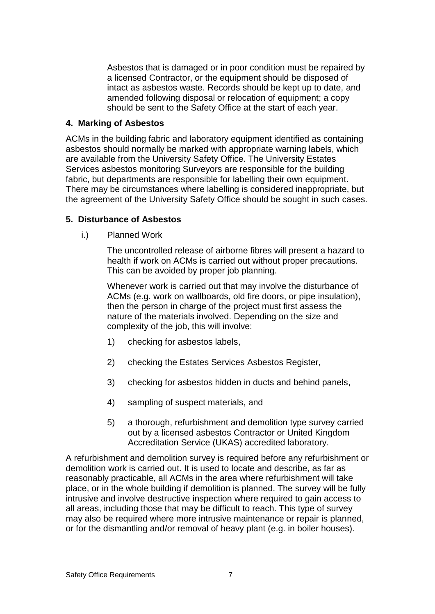Asbestos that is damaged or in poor condition must be repaired by a licensed Contractor, or the equipment should be disposed of intact as asbestos waste. Records should be kept up to date, and amended following disposal or relocation of equipment; a copy should be sent to the Safety Office at the start of each year.

## **4. Marking of Asbestos**

ACMs in the building fabric and laboratory equipment identified as containing asbestos should normally be marked with appropriate warning labels, which are available from the University Safety Office. The University Estates Services asbestos monitoring Surveyors are responsible for the building fabric, but departments are responsible for labelling their own equipment. There may be circumstances where labelling is considered inappropriate, but the agreement of the University Safety Office should be sought in such cases.

# **5. Disturbance of Asbestos**

i.) Planned Work

The uncontrolled release of airborne fibres will present a hazard to health if work on ACMs is carried out without proper precautions. This can be avoided by proper job planning.

Whenever work is carried out that may involve the disturbance of ACMs (e.g. work on wallboards, old fire doors, or pipe insulation), then the person in charge of the project must first assess the nature of the materials involved. Depending on the size and complexity of the job, this will involve:

- 1) checking for asbestos labels,
- 2) checking the Estates Services Asbestos Register,
- 3) checking for asbestos hidden in ducts and behind panels,
- 4) sampling of suspect materials, and
- 5) a thorough, refurbishment and demolition type survey carried out by a licensed asbestos Contractor or United Kingdom Accreditation Service (UKAS) accredited laboratory.

A refurbishment and demolition survey is required before any refurbishment or demolition work is carried out. It is used to locate and describe, as far as reasonably practicable, all ACMs in the area where refurbishment will take place, or in the whole building if demolition is planned. The survey will be fully intrusive and involve destructive inspection where required to gain access to all areas, including those that may be difficult to reach. This type of survey may also be required where more intrusive maintenance or repair is planned, or for the dismantling and/or removal of heavy plant (e.g. in boiler houses).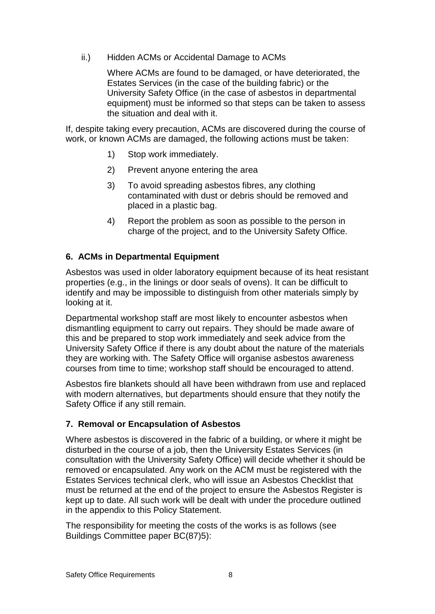ii.) Hidden ACMs or Accidental Damage to ACMs

Where ACMs are found to be damaged, or have deteriorated, the Estates Services (in the case of the building fabric) or the University Safety Office (in the case of asbestos in departmental equipment) must be informed so that steps can be taken to assess the situation and deal with it.

If, despite taking every precaution, ACMs are discovered during the course of work, or known ACMs are damaged, the following actions must be taken:

- 1) Stop work immediately.
- 2) Prevent anyone entering the area
- 3) To avoid spreading asbestos fibres, any clothing contaminated with dust or debris should be removed and placed in a plastic bag.
- 4) Report the problem as soon as possible to the person in charge of the project, and to the University Safety Office.

# **6. ACMs in Departmental Equipment**

Asbestos was used in older laboratory equipment because of its heat resistant properties (e.g., in the linings or door seals of ovens). It can be difficult to identify and may be impossible to distinguish from other materials simply by looking at it.

Departmental workshop staff are most likely to encounter asbestos when dismantling equipment to carry out repairs. They should be made aware of this and be prepared to stop work immediately and seek advice from the University Safety Office if there is any doubt about the nature of the materials they are working with. The Safety Office will organise asbestos awareness courses from time to time; workshop staff should be encouraged to attend.

Asbestos fire blankets should all have been withdrawn from use and replaced with modern alternatives, but departments should ensure that they notify the Safety Office if any still remain.

# **7. Removal or Encapsulation of Asbestos**

Where asbestos is discovered in the fabric of a building, or where it might be disturbed in the course of a job, then the University Estates Services (in consultation with the University Safety Office) will decide whether it should be removed or encapsulated. Any work on the ACM must be registered with the Estates Services technical clerk, who will issue an Asbestos Checklist that must be returned at the end of the project to ensure the Asbestos Register is kept up to date. All such work will be dealt with under the procedure outlined in the appendix to this Policy Statement.

The responsibility for meeting the costs of the works is as follows (see Buildings Committee paper BC(87)5):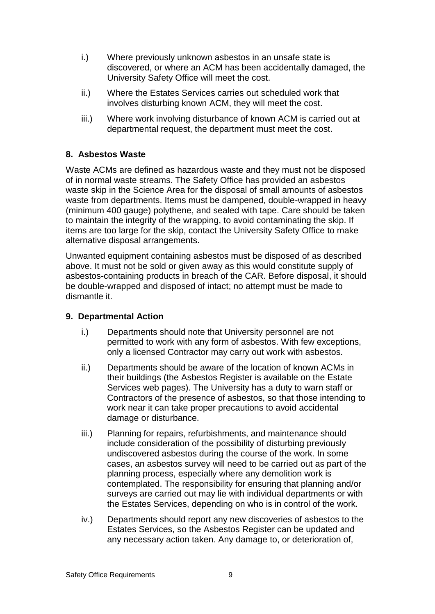- i.) Where previously unknown asbestos in an unsafe state is discovered, or where an ACM has been accidentally damaged, the University Safety Office will meet the cost.
- ii.) Where the Estates Services carries out scheduled work that involves disturbing known ACM, they will meet the cost.
- iii.) Where work involving disturbance of known ACM is carried out at departmental request, the department must meet the cost.

# **8. Asbestos Waste**

Waste ACMs are defined as hazardous waste and they must not be disposed of in normal waste streams. The Safety Office has provided an asbestos waste skip in the Science Area for the disposal of small amounts of asbestos waste from departments. Items must be dampened, double-wrapped in heavy (minimum 400 gauge) polythene, and sealed with tape. Care should be taken to maintain the integrity of the wrapping, to avoid contaminating the skip. If items are too large for the skip, contact the University Safety Office to make alternative disposal arrangements.

Unwanted equipment containing asbestos must be disposed of as described above. It must not be sold or given away as this would constitute supply of asbestos-containing products in breach of the CAR. Before disposal, it should be double-wrapped and disposed of intact; no attempt must be made to dismantle it.

## **9. Departmental Action**

- i.) Departments should note that University personnel are not permitted to work with any form of asbestos. With few exceptions, only a licensed Contractor may carry out work with asbestos.
- ii.) Departments should be aware of the location of known ACMs in their buildings (the Asbestos Register is available on the Estate Services web pages). The University has a duty to warn staff or Contractors of the presence of asbestos, so that those intending to work near it can take proper precautions to avoid accidental damage or disturbance.
- iii.) Planning for repairs, refurbishments, and maintenance should include consideration of the possibility of disturbing previously undiscovered asbestos during the course of the work. In some cases, an asbestos survey will need to be carried out as part of the planning process, especially where any demolition work is contemplated. The responsibility for ensuring that planning and/or surveys are carried out may lie with individual departments or with the Estates Services, depending on who is in control of the work.
- iv.) Departments should report any new discoveries of asbestos to the Estates Services, so the Asbestos Register can be updated and any necessary action taken. Any damage to, or deterioration of,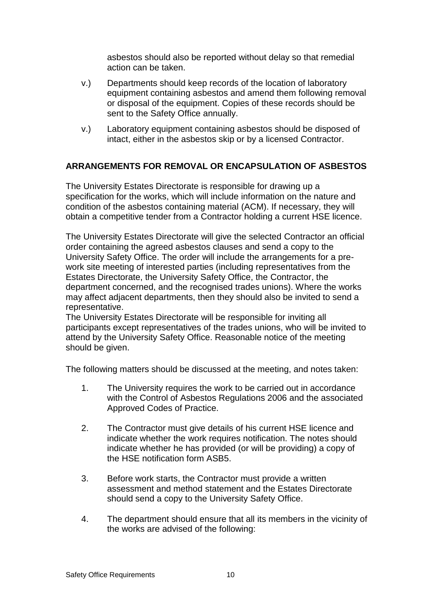asbestos should also be reported without delay so that remedial action can be taken.

- v.) Departments should keep records of the location of laboratory equipment containing asbestos and amend them following removal or disposal of the equipment. Copies of these records should be sent to the Safety Office annually.
- v.) Laboratory equipment containing asbestos should be disposed of intact, either in the asbestos skip or by a licensed Contractor.

# **ARRANGEMENTS FOR REMOVAL OR ENCAPSULATION OF ASBESTOS**

The University Estates Directorate is responsible for drawing up a specification for the works, which will include information on the nature and condition of the asbestos containing material (ACM). If necessary, they will obtain a competitive tender from a Contractor holding a current HSE licence.

The University Estates Directorate will give the selected Contractor an official order containing the agreed asbestos clauses and send a copy to the University Safety Office. The order will include the arrangements for a prework site meeting of interested parties (including representatives from the Estates Directorate, the University Safety Office, the Contractor, the department concerned, and the recognised trades unions). Where the works may affect adjacent departments, then they should also be invited to send a representative.

The University Estates Directorate will be responsible for inviting all participants except representatives of the trades unions, who will be invited to attend by the University Safety Office. Reasonable notice of the meeting should be given.

The following matters should be discussed at the meeting, and notes taken:

- 1. The University requires the work to be carried out in accordance with the Control of Asbestos Regulations 2006 and the associated Approved Codes of Practice.
- 2. The Contractor must give details of his current HSE licence and indicate whether the work requires notification. The notes should indicate whether he has provided (or will be providing) a copy of the HSE notification form ASB5.
- 3. Before work starts, the Contractor must provide a written assessment and method statement and the Estates Directorate should send a copy to the University Safety Office.
- 4. The department should ensure that all its members in the vicinity of the works are advised of the following: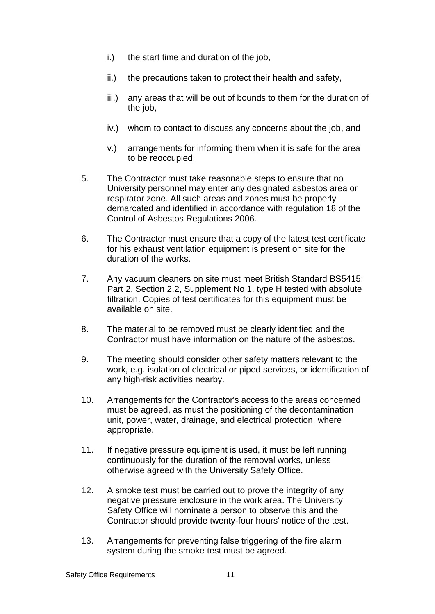- i.) the start time and duration of the job,
- ii.) the precautions taken to protect their health and safety,
- iii.) any areas that will be out of bounds to them for the duration of the job,
- iv.) whom to contact to discuss any concerns about the job, and
- v.) arrangements for informing them when it is safe for the area to be reoccupied.
- 5. The Contractor must take reasonable steps to ensure that no University personnel may enter any designated asbestos area or respirator zone. All such areas and zones must be properly demarcated and identified in accordance with regulation 18 of the Control of Asbestos Regulations 2006.
- 6. The Contractor must ensure that a copy of the latest test certificate for his exhaust ventilation equipment is present on site for the duration of the works.
- 7. Any vacuum cleaners on site must meet British Standard BS5415: Part 2, Section 2.2, Supplement No 1, type H tested with absolute filtration. Copies of test certificates for this equipment must be available on site.
- 8. The material to be removed must be clearly identified and the Contractor must have information on the nature of the asbestos.
- 9. The meeting should consider other safety matters relevant to the work, e.g. isolation of electrical or piped services, or identification of any high-risk activities nearby.
- 10. Arrangements for the Contractor's access to the areas concerned must be agreed, as must the positioning of the decontamination unit, power, water, drainage, and electrical protection, where appropriate.
- 11. If negative pressure equipment is used, it must be left running continuously for the duration of the removal works, unless otherwise agreed with the University Safety Office.
- 12. A smoke test must be carried out to prove the integrity of any negative pressure enclosure in the work area. The University Safety Office will nominate a person to observe this and the Contractor should provide twenty-four hours' notice of the test.
- 13. Arrangements for preventing false triggering of the fire alarm system during the smoke test must be agreed.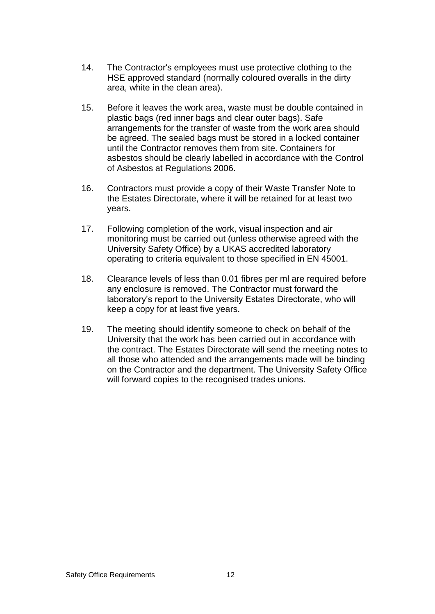- 14. The Contractor's employees must use protective clothing to the HSE approved standard (normally coloured overalls in the dirty area, white in the clean area).
- 15. Before it leaves the work area, waste must be double contained in plastic bags (red inner bags and clear outer bags). Safe arrangements for the transfer of waste from the work area should be agreed. The sealed bags must be stored in a locked container until the Contractor removes them from site. Containers for asbestos should be clearly labelled in accordance with the Control of Asbestos at Regulations 2006.
- 16. Contractors must provide a copy of their Waste Transfer Note to the Estates Directorate, where it will be retained for at least two years.
- 17. Following completion of the work, visual inspection and air monitoring must be carried out (unless otherwise agreed with the University Safety Office) by a UKAS accredited laboratory operating to criteria equivalent to those specified in EN 45001.
- 18. Clearance levels of less than 0.01 fibres per ml are required before any enclosure is removed. The Contractor must forward the laboratory's report to the University Estates Directorate, who will keep a copy for at least five years.
- 19. The meeting should identify someone to check on behalf of the University that the work has been carried out in accordance with the contract. The Estates Directorate will send the meeting notes to all those who attended and the arrangements made will be binding on the Contractor and the department. The University Safety Office will forward copies to the recognised trades unions.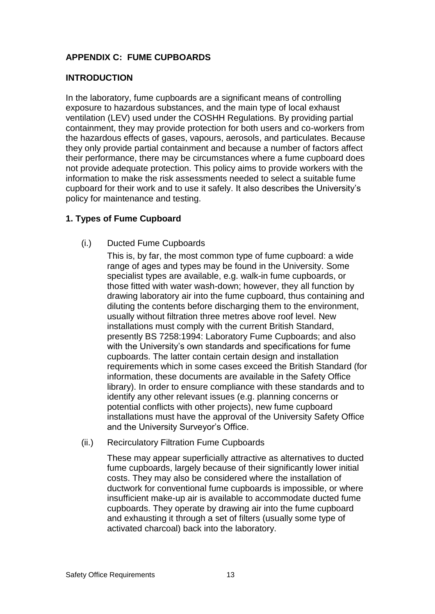# **APPENDIX C: FUME CUPBOARDS**

# **INTRODUCTION**

In the laboratory, fume cupboards are a significant means of controlling exposure to hazardous substances, and the main type of local exhaust ventilation (LEV) used under the COSHH Regulations. By providing partial containment, they may provide protection for both users and co-workers from the hazardous effects of gases, vapours, aerosols, and particulates. Because they only provide partial containment and because a number of factors affect their performance, there may be circumstances where a fume cupboard does not provide adequate protection. This policy aims to provide workers with the information to make the risk assessments needed to select a suitable fume cupboard for their work and to use it safely. It also describes the University's policy for maintenance and testing.

# **1. Types of Fume Cupboard**

(i.) Ducted Fume Cupboards

This is, by far, the most common type of fume cupboard: a wide range of ages and types may be found in the University. Some specialist types are available, e.g. walk-in fume cupboards, or those fitted with water wash-down; however, they all function by drawing laboratory air into the fume cupboard, thus containing and diluting the contents before discharging them to the environment, usually without filtration three metres above roof level. New installations must comply with the current British Standard, presently BS 7258:1994: Laboratory Fume Cupboards; and also with the University's own standards and specifications for fume cupboards. The latter contain certain design and installation requirements which in some cases exceed the British Standard (for information, these documents are available in the Safety Office library). In order to ensure compliance with these standards and to identify any other relevant issues (e.g. planning concerns or potential conflicts with other projects), new fume cupboard installations must have the approval of the University Safety Office and the University Surveyor's Office.

(ii.) Recirculatory Filtration Fume Cupboards

These may appear superficially attractive as alternatives to ducted fume cupboards, largely because of their significantly lower initial costs. They may also be considered where the installation of ductwork for conventional fume cupboards is impossible, or where insufficient make-up air is available to accommodate ducted fume cupboards. They operate by drawing air into the fume cupboard and exhausting it through a set of filters (usually some type of activated charcoal) back into the laboratory.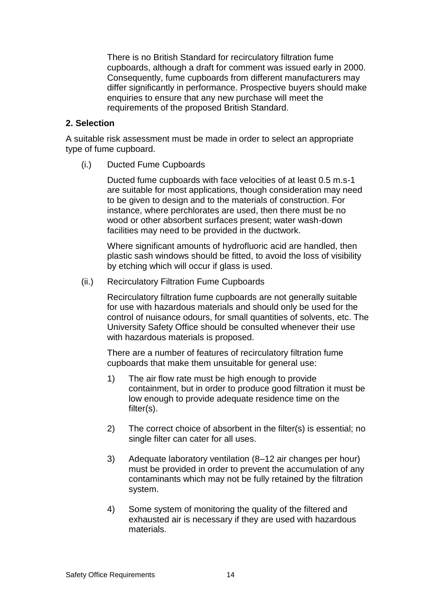There is no British Standard for recirculatory filtration fume cupboards, although a draft for comment was issued early in 2000. Consequently, fume cupboards from different manufacturers may differ significantly in performance. Prospective buyers should make enquiries to ensure that any new purchase will meet the requirements of the proposed British Standard.

## **2. Selection**

A suitable risk assessment must be made in order to select an appropriate type of fume cupboard.

(i.) Ducted Fume Cupboards

Ducted fume cupboards with face velocities of at least 0.5 m.s-1 are suitable for most applications, though consideration may need to be given to design and to the materials of construction. For instance, where perchlorates are used, then there must be no wood or other absorbent surfaces present; water wash-down facilities may need to be provided in the ductwork.

Where significant amounts of hydrofluoric acid are handled, then plastic sash windows should be fitted, to avoid the loss of visibility by etching which will occur if glass is used.

(ii.) Recirculatory Filtration Fume Cupboards

Recirculatory filtration fume cupboards are not generally suitable for use with hazardous materials and should only be used for the control of nuisance odours, for small quantities of solvents, etc. The University Safety Office should be consulted whenever their use with hazardous materials is proposed.

There are a number of features of recirculatory filtration fume cupboards that make them unsuitable for general use:

- 1) The air flow rate must be high enough to provide containment, but in order to produce good filtration it must be low enough to provide adequate residence time on the filter(s).
- 2) The correct choice of absorbent in the filter(s) is essential; no single filter can cater for all uses.
- 3) Adequate laboratory ventilation (8–12 air changes per hour) must be provided in order to prevent the accumulation of any contaminants which may not be fully retained by the filtration system.
- 4) Some system of monitoring the quality of the filtered and exhausted air is necessary if they are used with hazardous materials.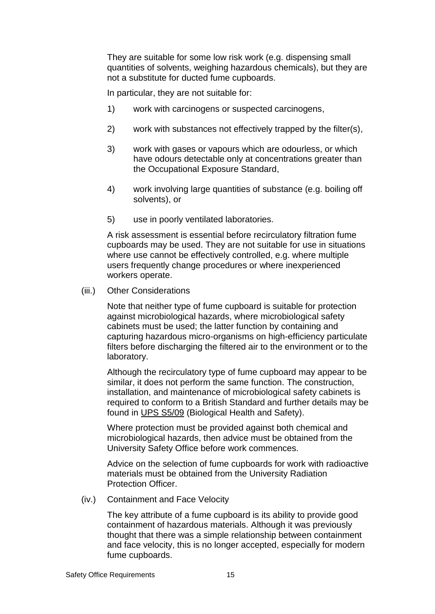They are suitable for some low risk work (e.g. dispensing small quantities of solvents, weighing hazardous chemicals), but they are not a substitute for ducted fume cupboards.

In particular, they are not suitable for:

- 1) work with carcinogens or suspected carcinogens,
- 2) work with substances not effectively trapped by the filter(s),
- 3) work with gases or vapours which are odourless, or which have odours detectable only at concentrations greater than the Occupational Exposure Standard,
- 4) work involving large quantities of substance (e.g. boiling off solvents), or
- 5) use in poorly ventilated laboratories.

A risk assessment is essential before recirculatory filtration fume cupboards may be used. They are not suitable for use in situations where use cannot be effectively controlled, e.g. where multiple users frequently change procedures or where inexperienced workers operate.

(iii.) Other Considerations

Note that neither type of fume cupboard is suitable for protection against microbiological hazards, where microbiological safety cabinets must be used; the latter function by containing and capturing hazardous micro-organisms on high-efficiency particulate filters before discharging the filtered air to the environment or to the laboratory.

Although the recirculatory type of fume cupboard may appear to be similar, it does not perform the same function. The construction, installation, and maintenance of microbiological safety cabinets is required to conform to a British Standard and further details may be found in [UPS S5/09](https://www.admin.ox.ac.uk/safety/oxonly/upss509/) (Biological Health and Safety).

Where protection must be provided against both chemical and microbiological hazards, then advice must be obtained from the University Safety Office before work commences.

Advice on the selection of fume cupboards for work with radioactive materials must be obtained from the University Radiation Protection Officer.

(iv.) Containment and Face Velocity

The key attribute of a fume cupboard is its ability to provide good containment of hazardous materials. Although it was previously thought that there was a simple relationship between containment and face velocity, this is no longer accepted, especially for modern fume cupboards.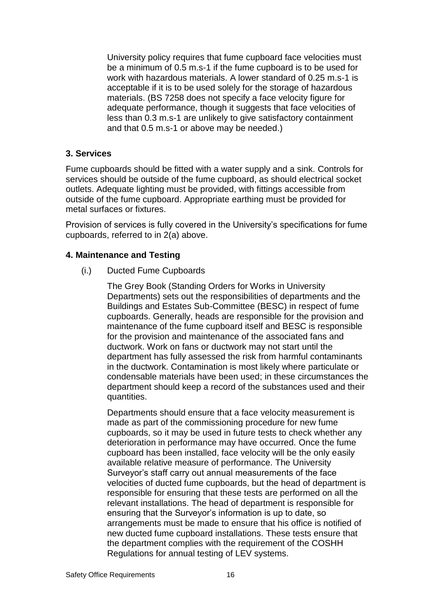University policy requires that fume cupboard face velocities must be a minimum of 0.5 m.s-1 if the fume cupboard is to be used for work with hazardous materials. A lower standard of 0.25 m.s-1 is acceptable if it is to be used solely for the storage of hazardous materials. (BS 7258 does not specify a face velocity figure for adequate performance, though it suggests that face velocities of less than 0.3 m.s-1 are unlikely to give satisfactory containment and that 0.5 m.s-1 or above may be needed.)

# **3. Services**

Fume cupboards should be fitted with a water supply and a sink. Controls for services should be outside of the fume cupboard, as should electrical socket outlets. Adequate lighting must be provided, with fittings accessible from outside of the fume cupboard. Appropriate earthing must be provided for metal surfaces or fixtures.

Provision of services is fully covered in the University's specifications for fume cupboards, referred to in 2(a) above.

## **4. Maintenance and Testing**

(i.) Ducted Fume Cupboards

The Grey Book (Standing Orders for Works in University Departments) sets out the responsibilities of departments and the Buildings and Estates Sub-Committee (BESC) in respect of fume cupboards. Generally, heads are responsible for the provision and maintenance of the fume cupboard itself and BESC is responsible for the provision and maintenance of the associated fans and ductwork. Work on fans or ductwork may not start until the department has fully assessed the risk from harmful contaminants in the ductwork. Contamination is most likely where particulate or condensable materials have been used; in these circumstances the department should keep a record of the substances used and their quantities.

Departments should ensure that a face velocity measurement is made as part of the commissioning procedure for new fume cupboards, so it may be used in future tests to check whether any deterioration in performance may have occurred. Once the fume cupboard has been installed, face velocity will be the only easily available relative measure of performance. The University Surveyor's staff carry out annual measurements of the face velocities of ducted fume cupboards, but the head of department is responsible for ensuring that these tests are performed on all the relevant installations. The head of department is responsible for ensuring that the Surveyor's information is up to date, so arrangements must be made to ensure that his office is notified of new ducted fume cupboard installations. These tests ensure that the department complies with the requirement of the COSHH Regulations for annual testing of LEV systems.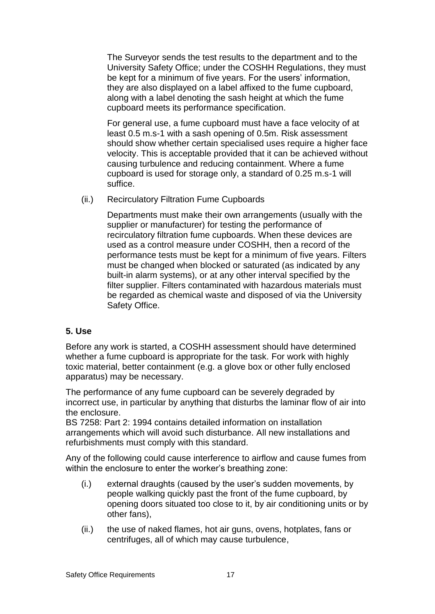The Surveyor sends the test results to the department and to the University Safety Office; under the COSHH Regulations, they must be kept for a minimum of five years. For the users' information, they are also displayed on a label affixed to the fume cupboard, along with a label denoting the sash height at which the fume cupboard meets its performance specification.

For general use, a fume cupboard must have a face velocity of at least 0.5 m.s-1 with a sash opening of 0.5m. Risk assessment should show whether certain specialised uses require a higher face velocity. This is acceptable provided that it can be achieved without causing turbulence and reducing containment. Where a fume cupboard is used for storage only, a standard of 0.25 m.s-1 will suffice.

(ii.) Recirculatory Filtration Fume Cupboards

Departments must make their own arrangements (usually with the supplier or manufacturer) for testing the performance of recirculatory filtration fume cupboards. When these devices are used as a control measure under COSHH, then a record of the performance tests must be kept for a minimum of five years. Filters must be changed when blocked or saturated (as indicated by any built-in alarm systems), or at any other interval specified by the filter supplier. Filters contaminated with hazardous materials must be regarded as chemical waste and disposed of via the University Safety Office.

# **5. Use**

Before any work is started, a COSHH assessment should have determined whether a fume cupboard is appropriate for the task. For work with highly toxic material, better containment (e.g. a glove box or other fully enclosed apparatus) may be necessary.

The performance of any fume cupboard can be severely degraded by incorrect use, in particular by anything that disturbs the laminar flow of air into the enclosure.

BS 7258: Part 2: 1994 contains detailed information on installation arrangements which will avoid such disturbance. All new installations and refurbishments must comply with this standard.

Any of the following could cause interference to airflow and cause fumes from within the enclosure to enter the worker's breathing zone:

- (i.) external draughts (caused by the user's sudden movements, by people walking quickly past the front of the fume cupboard, by opening doors situated too close to it, by air conditioning units or by other fans),
- (ii.) the use of naked flames, hot air guns, ovens, hotplates, fans or centrifuges, all of which may cause turbulence,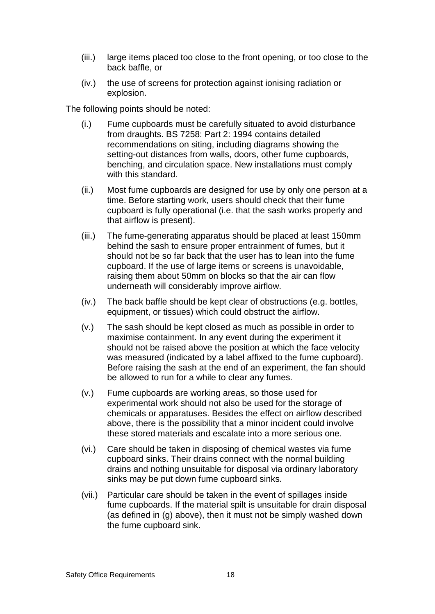- (iii.) large items placed too close to the front opening, or too close to the back baffle, or
- (iv.) the use of screens for protection against ionising radiation or explosion.

The following points should be noted:

- (i.) Fume cupboards must be carefully situated to avoid disturbance from draughts. BS 7258: Part 2: 1994 contains detailed recommendations on siting, including diagrams showing the setting-out distances from walls, doors, other fume cupboards, benching, and circulation space. New installations must comply with this standard.
- (ii.) Most fume cupboards are designed for use by only one person at a time. Before starting work, users should check that their fume cupboard is fully operational (i.e. that the sash works properly and that airflow is present).
- (iii.) The fume-generating apparatus should be placed at least 150mm behind the sash to ensure proper entrainment of fumes, but it should not be so far back that the user has to lean into the fume cupboard. If the use of large items or screens is unavoidable, raising them about 50mm on blocks so that the air can flow underneath will considerably improve airflow.
- (iv.) The back baffle should be kept clear of obstructions (e.g. bottles, equipment, or tissues) which could obstruct the airflow.
- (v.) The sash should be kept closed as much as possible in order to maximise containment. In any event during the experiment it should not be raised above the position at which the face velocity was measured (indicated by a label affixed to the fume cupboard). Before raising the sash at the end of an experiment, the fan should be allowed to run for a while to clear any fumes.
- (v.) Fume cupboards are working areas, so those used for experimental work should not also be used for the storage of chemicals or apparatuses. Besides the effect on airflow described above, there is the possibility that a minor incident could involve these stored materials and escalate into a more serious one.
- (vi.) Care should be taken in disposing of chemical wastes via fume cupboard sinks. Their drains connect with the normal building drains and nothing unsuitable for disposal via ordinary laboratory sinks may be put down fume cupboard sinks.
- (vii.) Particular care should be taken in the event of spillages inside fume cupboards. If the material spilt is unsuitable for drain disposal (as defined in (g) above), then it must not be simply washed down the fume cupboard sink.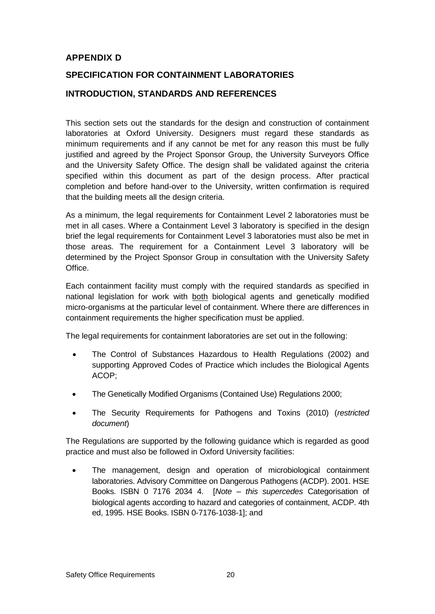# **APPENDIX D**

# **SPECIFICATION FOR CONTAINMENT LABORATORIES**

# **INTRODUCTION, STANDARDS AND REFERENCES**

This section sets out the standards for the design and construction of containment laboratories at Oxford University. Designers must regard these standards as minimum requirements and if any cannot be met for any reason this must be fully justified and agreed by the Project Sponsor Group, the University Surveyors Office and the University Safety Office. The design shall be validated against the criteria specified within this document as part of the design process. After practical completion and before hand-over to the University, written confirmation is required that the building meets all the design criteria.

As a minimum, the legal requirements for Containment Level 2 laboratories must be met in all cases. Where a Containment Level 3 laboratory is specified in the design brief the legal requirements for Containment Level 3 laboratories must also be met in those areas. The requirement for a Containment Level 3 laboratory will be determined by the Project Sponsor Group in consultation with the University Safety Office.

Each containment facility must comply with the required standards as specified in national legislation for work with both biological agents and genetically modified micro-organisms at the particular level of containment. Where there are differences in containment requirements the higher specification must be applied.

The legal requirements for containment laboratories are set out in the following:

- The Control of Substances Hazardous to Health Regulations (2002) and supporting Approved Codes of Practice which includes the Biological Agents ACOP;
- The Genetically Modified Organisms (Contained Use) Regulations 2000;
- The Security Requirements for Pathogens and Toxins (2010) (*restricted document*)

The Regulations are supported by the following guidance which is regarded as good practice and must also be followed in Oxford University facilities:

 The management, design and operation of microbiological containment laboratories. Advisory Committee on Dangerous Pathogens (ACDP). 2001. HSE Books. ISBN 0 7176 2034 4. [*Note – this supercedes* Categorisation of biological agents according to hazard and categories of containment, ACDP. 4th ed, 1995. HSE Books. ISBN 0-7176-1038-1]; and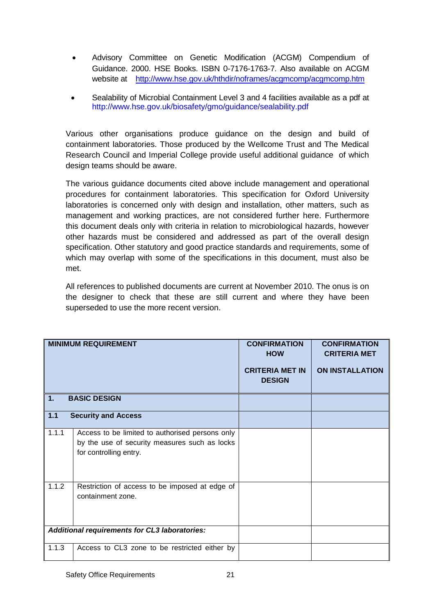- Advisory Committee on Genetic Modification (ACGM) Compendium of Guidance. 2000. HSE Books. ISBN 0-7176-1763-7. Also available on ACGM website at <http://www.hse.gov.uk/hthdir/noframes/acgmcomp/acgmcomp.htm>
- Sealability of Microbial Containment Level 3 and 4 facilities available as a pdf at http://www.hse.gov.uk/biosafety/gmo/guidance/sealability.pdf

Various other organisations produce guidance on the design and build of containment laboratories. Those produced by the Wellcome Trust and The Medical Research Council and Imperial College provide useful additional guidance of which design teams should be aware.

The various guidance documents cited above include management and operational procedures for containment laboratories. This specification for Oxford University laboratories is concerned only with design and installation, other matters, such as management and working practices, are not considered further here. Furthermore this document deals only with criteria in relation to microbiological hazards, however other hazards must be considered and addressed as part of the overall design specification. Other statutory and good practice standards and requirements, some of which may overlap with some of the specifications in this document, must also be met.

All references to published documents are current at November 2010. The onus is on the designer to check that these are still current and where they have been superseded to use the more recent version.

| $\mathbf{1}$ . | <b>MINIMUM REQUIREMENT</b><br><b>BASIC DESIGN</b>                                                                          | <b>CONFIRMATION</b><br><b>HOW</b><br><b>CRITERIA MET IN</b><br><b>DESIGN</b> | <b>CONFIRMATION</b><br><b>CRITERIA MET</b><br><b>ON INSTALLATION</b> |
|----------------|----------------------------------------------------------------------------------------------------------------------------|------------------------------------------------------------------------------|----------------------------------------------------------------------|
| $1.1$          | <b>Security and Access</b>                                                                                                 |                                                                              |                                                                      |
| 1.1.1          | Access to be limited to authorised persons only<br>by the use of security measures such as locks<br>for controlling entry. |                                                                              |                                                                      |
| 1.1.2          | Restriction of access to be imposed at edge of<br>containment zone.                                                        |                                                                              |                                                                      |
|                | Additional requirements for CL3 laboratories:                                                                              |                                                                              |                                                                      |
| 1.1.3          | Access to CL3 zone to be restricted either by                                                                              |                                                                              |                                                                      |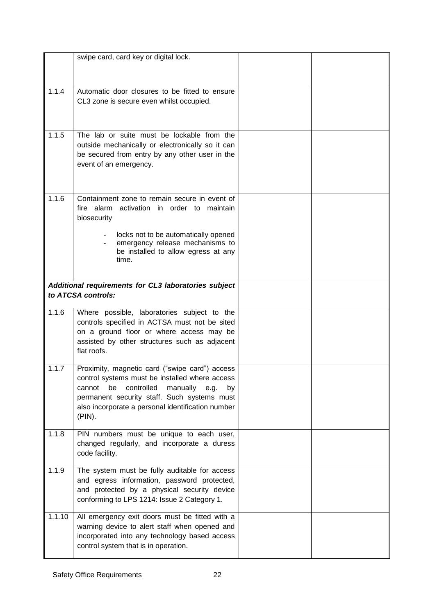|        | swipe card, card key or digital lock.                                                       |  |
|--------|---------------------------------------------------------------------------------------------|--|
|        |                                                                                             |  |
|        |                                                                                             |  |
| 1.1.4  | Automatic door closures to be fitted to ensure                                              |  |
|        | CL3 zone is secure even whilst occupied.                                                    |  |
|        |                                                                                             |  |
|        |                                                                                             |  |
| 1.1.5  | The lab or suite must be lockable from the                                                  |  |
|        | outside mechanically or electronically so it can                                            |  |
|        | be secured from entry by any other user in the                                              |  |
|        | event of an emergency.                                                                      |  |
|        |                                                                                             |  |
|        |                                                                                             |  |
| 1.1.6  |                                                                                             |  |
|        | Containment zone to remain secure in event of<br>fire alarm activation in order to maintain |  |
|        | biosecurity                                                                                 |  |
|        |                                                                                             |  |
|        | locks not to be automatically opened                                                        |  |
|        | emergency release mechanisms to                                                             |  |
|        | be installed to allow egress at any                                                         |  |
|        | time.                                                                                       |  |
|        |                                                                                             |  |
|        | Additional requirements for CL3 laboratories subject                                        |  |
|        | to ATCSA controls:                                                                          |  |
|        |                                                                                             |  |
| 1.1.6  | Where possible, laboratories subject to the                                                 |  |
|        | controls specified in ACTSA must not be sited<br>on a ground floor or where access may be   |  |
|        | assisted by other structures such as adjacent                                               |  |
|        | flat roofs.                                                                                 |  |
|        |                                                                                             |  |
| 1.1.7  | Proximity, magnetic card ("swipe card") access                                              |  |
|        | control systems must be installed where access                                              |  |
|        | controlled<br>manually e.g.<br>cannot be<br>by                                              |  |
|        | permanent security staff. Such systems must                                                 |  |
|        | also incorporate a personal identification number                                           |  |
|        | (PIN).                                                                                      |  |
| 1.1.8  | PIN numbers must be unique to each user,                                                    |  |
|        | changed regularly, and incorporate a duress                                                 |  |
|        | code facility.                                                                              |  |
|        |                                                                                             |  |
| 1.1.9  | The system must be fully auditable for access                                               |  |
|        | and egress information, password protected,                                                 |  |
|        | and protected by a physical security device                                                 |  |
|        | conforming to LPS 1214: Issue 2 Category 1.                                                 |  |
| 1.1.10 | All emergency exit doors must be fitted with a                                              |  |
|        | warning device to alert staff when opened and                                               |  |
|        | incorporated into any technology based access                                               |  |
|        | control system that is in operation.                                                        |  |
|        |                                                                                             |  |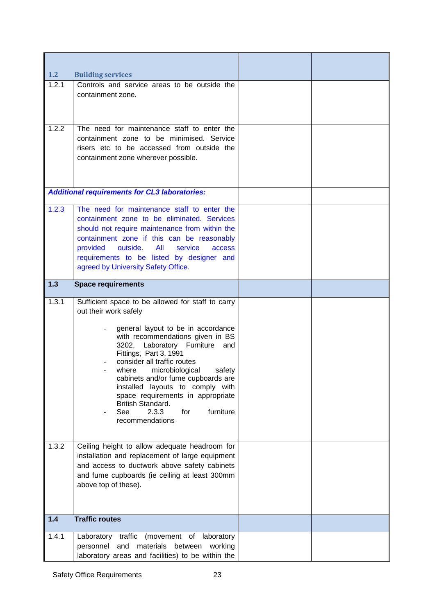| 1.2            | <b>Building services</b>                                                                                                                                                                                                                                                                                                                                                                                                                                                                                                             |  |
|----------------|--------------------------------------------------------------------------------------------------------------------------------------------------------------------------------------------------------------------------------------------------------------------------------------------------------------------------------------------------------------------------------------------------------------------------------------------------------------------------------------------------------------------------------------|--|
| 1.2.1          | Controls and service areas to be outside the<br>containment zone.                                                                                                                                                                                                                                                                                                                                                                                                                                                                    |  |
| 1.2.2          | The need for maintenance staff to enter the<br>containment zone to be minimised. Service<br>risers etc to be accessed from outside the<br>containment zone wherever possible.                                                                                                                                                                                                                                                                                                                                                        |  |
|                | <b>Additional requirements for CL3 laboratories:</b>                                                                                                                                                                                                                                                                                                                                                                                                                                                                                 |  |
| 1.2.3          | The need for maintenance staff to enter the<br>containment zone to be eliminated. Services<br>should not require maintenance from within the<br>containment zone if this can be reasonably<br>provided<br>outside.<br>All<br>service<br>access<br>requirements to be listed by designer and<br>agreed by University Safety Office.                                                                                                                                                                                                   |  |
| $1.3$          | <b>Space requirements</b>                                                                                                                                                                                                                                                                                                                                                                                                                                                                                                            |  |
| 1.3.1<br>1.3.2 | Sufficient space to be allowed for staff to carry<br>out their work safely<br>general layout to be in accordance<br>with recommendations given in BS<br>3202, Laboratory Furniture<br>and<br>Fittings, Part 3, 1991<br>consider all traffic routes<br>where<br>microbiological<br>safety<br>cabinets and/or fume cupboards are<br>installed layouts to comply with<br>space requirements in appropriate<br>British Standard.<br>2.3.3<br>furniture<br>See<br>for<br>recommendations<br>Ceiling height to allow adequate headroom for |  |
|                | installation and replacement of large equipment<br>and access to ductwork above safety cabinets<br>and fume cupboards (ie ceiling at least 300mm<br>above top of these).                                                                                                                                                                                                                                                                                                                                                             |  |
| $1.4$          | <b>Traffic routes</b>                                                                                                                                                                                                                                                                                                                                                                                                                                                                                                                |  |
| 1.4.1          | Laboratory traffic (movement of<br>laboratory<br>personnel and materials between working<br>laboratory areas and facilities) to be within the                                                                                                                                                                                                                                                                                                                                                                                        |  |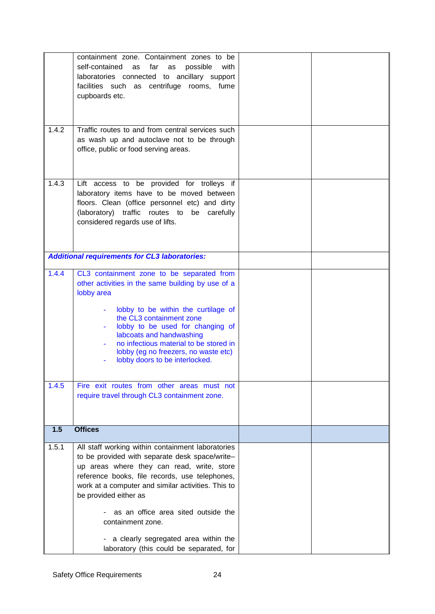|                | containment zone. Containment zones to be<br>self-contained as<br>far<br>possible<br>as<br>with<br>laboratories connected to ancillary support<br>facilities such as centrifuge rooms, fume<br>cupboards etc.                                                                                                                                                                                                                       |  |
|----------------|-------------------------------------------------------------------------------------------------------------------------------------------------------------------------------------------------------------------------------------------------------------------------------------------------------------------------------------------------------------------------------------------------------------------------------------|--|
| 1.4.2          | Traffic routes to and from central services such<br>as wash up and autoclave not to be through<br>office, public or food serving areas.                                                                                                                                                                                                                                                                                             |  |
| 1.4.3          | Lift access to be provided for trolleys if<br>laboratory items have to be moved between<br>floors. Clean (office personnel etc) and dirty<br>(laboratory) traffic routes to be carefully<br>considered regards use of lifts.                                                                                                                                                                                                        |  |
|                | <b>Additional requirements for CL3 laboratories:</b>                                                                                                                                                                                                                                                                                                                                                                                |  |
| 1.4.4<br>1.4.5 | CL3 containment zone to be separated from<br>other activities in the same building by use of a<br>lobby area<br>lobby to be within the curtilage of<br>$\blacksquare$<br>the CL3 containment zone<br>lobby to be used for changing of<br>labcoats and handwashing<br>no infectious material to be stored in<br>lobby (eg no freezers, no waste etc)<br>lobby doors to be interlocked.<br>Fire exit routes from other areas must not |  |
|                | require travel through CL3 containment zone.                                                                                                                                                                                                                                                                                                                                                                                        |  |
| 1.5            | <b>Offices</b>                                                                                                                                                                                                                                                                                                                                                                                                                      |  |
| 1.5.1          | All staff working within containment laboratories<br>to be provided with separate desk space/write-<br>up areas where they can read, write, store<br>reference books, file records, use telephones,<br>work at a computer and similar activities. This to<br>be provided either as<br>as an office area sited outside the<br>containment zone.<br>a clearly segregated area within the                                              |  |
|                | laboratory (this could be separated, for                                                                                                                                                                                                                                                                                                                                                                                            |  |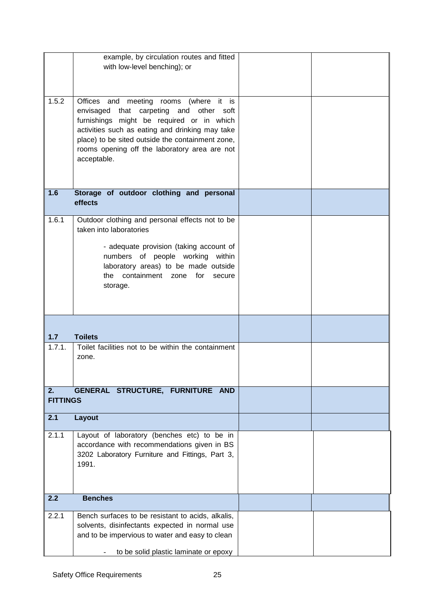|                 | example, by circulation routes and fitted                                                           |  |
|-----------------|-----------------------------------------------------------------------------------------------------|--|
|                 | with low-level benching); or                                                                        |  |
|                 |                                                                                                     |  |
| 1.5.2           | Offices and meeting rooms (where it is                                                              |  |
|                 | envisaged that carpeting and other soft                                                             |  |
|                 | furnishings might be required or in which                                                           |  |
|                 | activities such as eating and drinking may take<br>place) to be sited outside the containment zone, |  |
|                 | rooms opening off the laboratory area are not                                                       |  |
|                 | acceptable.                                                                                         |  |
|                 |                                                                                                     |  |
|                 |                                                                                                     |  |
| 1.6             | Storage of outdoor clothing and personal<br>effects                                                 |  |
|                 |                                                                                                     |  |
| 1.6.1           | Outdoor clothing and personal effects not to be                                                     |  |
|                 | taken into laboratories                                                                             |  |
|                 | - adequate provision (taking account of                                                             |  |
|                 | numbers of people working within                                                                    |  |
|                 | laboratory areas) to be made outside<br>containment zone<br>the<br>for<br>secure                    |  |
|                 | storage.                                                                                            |  |
|                 |                                                                                                     |  |
|                 |                                                                                                     |  |
|                 |                                                                                                     |  |
| $1.7$           | <b>Toilets</b>                                                                                      |  |
| 1.7.1.          | Toilet facilities not to be within the containment                                                  |  |
|                 | zone.                                                                                               |  |
|                 |                                                                                                     |  |
| 2.              | GENERAL STRUCTURE, FURNITURE AND                                                                    |  |
| <b>FITTINGS</b> |                                                                                                     |  |
|                 |                                                                                                     |  |
| 2.1             | Layout                                                                                              |  |
| 2.1.1           | Layout of laboratory (benches etc) to be in                                                         |  |
|                 | accordance with recommendations given in BS                                                         |  |
|                 | 3202 Laboratory Furniture and Fittings, Part 3,<br>1991.                                            |  |
|                 |                                                                                                     |  |
|                 |                                                                                                     |  |
| 2.2             | <b>Benches</b>                                                                                      |  |
| 2.2.1           | Bench surfaces to be resistant to acids, alkalis,                                                   |  |
|                 | solvents, disinfectants expected in normal use                                                      |  |
|                 | and to be impervious to water and easy to clean                                                     |  |
|                 | to be solid plastic laminate or epoxy                                                               |  |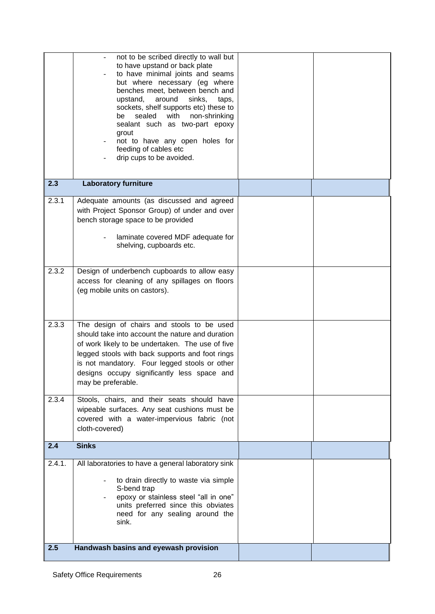|               | not to be scribed directly to wall but<br>to have upstand or back plate<br>to have minimal joints and seams<br>but where necessary (eg where<br>benches meet, between bench and<br>around<br>upstand,<br>sinks,<br>taps,<br>sockets, shelf supports etc) these to<br>sealed with non-shrinking<br>be<br>sealant such as two-part epoxy<br>grout<br>not to have any open holes for<br>feeding of cables etc<br>drip cups to be avoided. |  |
|---------------|----------------------------------------------------------------------------------------------------------------------------------------------------------------------------------------------------------------------------------------------------------------------------------------------------------------------------------------------------------------------------------------------------------------------------------------|--|
| 2.3           | <b>Laboratory furniture</b>                                                                                                                                                                                                                                                                                                                                                                                                            |  |
| 2.3.1         | Adequate amounts (as discussed and agreed<br>with Project Sponsor Group) of under and over<br>bench storage space to be provided<br>laminate covered MDF adequate for<br>shelving, cupboards etc.                                                                                                                                                                                                                                      |  |
| 2.3.2         | Design of underbench cupboards to allow easy<br>access for cleaning of any spillages on floors<br>(eg mobile units on castors).                                                                                                                                                                                                                                                                                                        |  |
| 2.3.3         | The design of chairs and stools to be used<br>should take into account the nature and duration<br>of work likely to be undertaken. The use of five<br>legged stools with back supports and foot rings<br>is not mandatory. Four legged stools or other<br>designs occupy significantly less space and<br>may be preferable.                                                                                                            |  |
| 2.3.4         | Stools, chairs, and their seats should have<br>wipeable surfaces. Any seat cushions must be<br>covered with a water-impervious fabric (not<br>cloth-covered)                                                                                                                                                                                                                                                                           |  |
| 2.4           | <b>Sinks</b>                                                                                                                                                                                                                                                                                                                                                                                                                           |  |
| 2.4.1.<br>2.5 | All laboratories to have a general laboratory sink<br>to drain directly to waste via simple<br>S-bend trap<br>epoxy or stainless steel "all in one"<br>units preferred since this obviates<br>need for any sealing around the<br>sink.<br>Handwash basins and eyewash provision                                                                                                                                                        |  |
|               |                                                                                                                                                                                                                                                                                                                                                                                                                                        |  |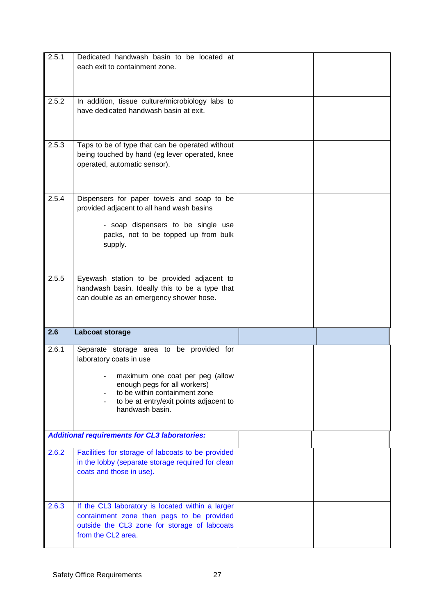| 2.5.1 | Dedicated handwash basin to be located at                                                  |  |
|-------|--------------------------------------------------------------------------------------------|--|
|       | each exit to containment zone.                                                             |  |
|       |                                                                                            |  |
|       |                                                                                            |  |
| 2.5.2 | In addition, tissue culture/microbiology labs to<br>have dedicated handwash basin at exit. |  |
|       |                                                                                            |  |
|       |                                                                                            |  |
| 2.5.3 | Taps to be of type that can be operated without                                            |  |
|       | being touched by hand (eg lever operated, knee                                             |  |
|       | operated, automatic sensor).                                                               |  |
|       |                                                                                            |  |
| 2.5.4 | Dispensers for paper towels and soap to be                                                 |  |
|       | provided adjacent to all hand wash basins                                                  |  |
|       |                                                                                            |  |
|       | - soap dispensers to be single use                                                         |  |
|       | packs, not to be topped up from bulk<br>supply.                                            |  |
|       |                                                                                            |  |
|       |                                                                                            |  |
| 2.5.5 | Eyewash station to be provided adjacent to                                                 |  |
|       | handwash basin. Ideally this to be a type that                                             |  |
|       | can double as an emergency shower hose.                                                    |  |
|       |                                                                                            |  |
|       |                                                                                            |  |
|       |                                                                                            |  |
| 2.6   | Labcoat storage                                                                            |  |
| 2.6.1 | Separate storage area to be provided for                                                   |  |
|       | laboratory coats in use                                                                    |  |
|       | maximum one coat per peg (allow                                                            |  |
|       | enough pegs for all workers)                                                               |  |
|       | to be within containment zone<br>to be at entry/exit points adjacent to                    |  |
|       | handwash basin.                                                                            |  |
|       |                                                                                            |  |
|       | <b>Additional requirements for CL3 laboratories:</b>                                       |  |
| 2.6.2 | Facilities for storage of labcoats to be provided                                          |  |
|       | in the lobby (separate storage required for clean                                          |  |
|       | coats and those in use).                                                                   |  |
|       |                                                                                            |  |
|       |                                                                                            |  |
| 2.6.3 | If the CL3 laboratory is located within a larger                                           |  |
|       | containment zone then pegs to be provided                                                  |  |
|       | outside the CL3 zone for storage of labcoats<br>from the CL2 area.                         |  |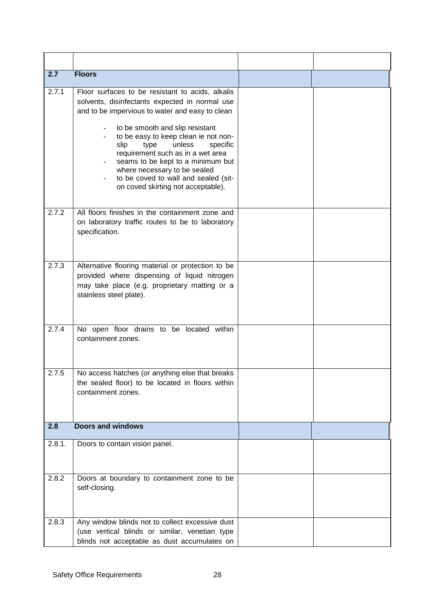| 2.7    | <b>Floors</b>                                                                                                                                                                                                                                                                                                                                                                                                                                                                              |  |
|--------|--------------------------------------------------------------------------------------------------------------------------------------------------------------------------------------------------------------------------------------------------------------------------------------------------------------------------------------------------------------------------------------------------------------------------------------------------------------------------------------------|--|
| 2.7.1  | Floor surfaces to be resistant to acids, alkalis<br>solvents, disinfectants expected in normal use<br>and to be impervious to water and easy to clean<br>to be smooth and slip resistant<br>$\overline{\phantom{a}}$<br>to be easy to keep clean ie not non-<br>unless<br>slip<br>type<br>specific<br>requirement such as in a wet area<br>seams to be kept to a minimum but<br>where necessary to be sealed<br>to be coved to wall and sealed (sit-<br>on coved skirting not acceptable). |  |
| 2.7.2  | All floors finishes in the containment zone and<br>on laboratory traffic routes to be to laboratory<br>specification.                                                                                                                                                                                                                                                                                                                                                                      |  |
| 2.7.3  | Alternative flooring material or protection to be<br>provided where dispensing of liquid nitrogen<br>may take place (e.g. proprietary matting or a<br>stainless steel plate).                                                                                                                                                                                                                                                                                                              |  |
| 2.7.4  | No open floor drains to be located within<br>containment zones.                                                                                                                                                                                                                                                                                                                                                                                                                            |  |
| 2.7.5  | No access hatches (or anything else that breaks<br>the sealed floor) to be located in floors within<br>containment zones.                                                                                                                                                                                                                                                                                                                                                                  |  |
| 2.8    | <b>Doors and windows</b>                                                                                                                                                                                                                                                                                                                                                                                                                                                                   |  |
| 2.8.1. | Doors to contain vision panel.                                                                                                                                                                                                                                                                                                                                                                                                                                                             |  |
| 2.8.2  | Doors at boundary to containment zone to be<br>self-closing.                                                                                                                                                                                                                                                                                                                                                                                                                               |  |
| 2.8.3  | Any window blinds not to collect excessive dust<br>(use vertical blinds or similar, venetian type<br>blinds not acceptable as dust accumulates on                                                                                                                                                                                                                                                                                                                                          |  |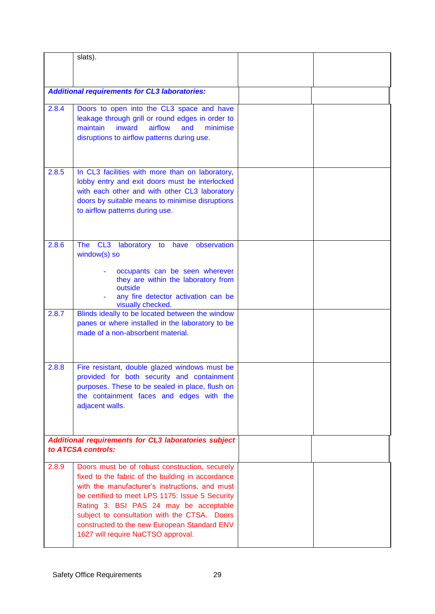|                | slats).                                                                                                                                                                                                                                                                                                                                                                                  |  |
|----------------|------------------------------------------------------------------------------------------------------------------------------------------------------------------------------------------------------------------------------------------------------------------------------------------------------------------------------------------------------------------------------------------|--|
|                |                                                                                                                                                                                                                                                                                                                                                                                          |  |
|                | <b>Additional requirements for CL3 laboratories:</b>                                                                                                                                                                                                                                                                                                                                     |  |
| 2.8.4          | Doors to open into the CL3 space and have<br>leakage through grill or round edges in order to<br>airflow<br>maintain<br>inward<br>and<br>minimise<br>disruptions to airflow patterns during use.                                                                                                                                                                                         |  |
| 2.8.5          | In CL3 facilities with more than on laboratory,<br>lobby entry and exit doors must be interlocked<br>with each other and with other CL3 laboratory<br>doors by suitable means to minimise disruptions<br>to airflow patterns during use.                                                                                                                                                 |  |
| 2.8.6<br>2.8.7 | CL3<br><b>The</b><br>laboratory<br>have<br>observation<br>to<br>window(s) so<br>occupants can be seen wherever<br>they are within the laboratory from<br>outside<br>any fire detector activation can be<br>visually checked.<br>Blinds ideally to be located between the window<br>panes or where installed in the laboratory to be<br>made of a non-absorbent material.                 |  |
| 2.8.8          | Fire resistant, double glazed windows must be<br>provided for both security and containment<br>purposes. These to be sealed in place, flush on<br>the containment faces and edges with the<br>adjacent walls.                                                                                                                                                                            |  |
|                | Additional requirements for CL3 laboratories subject<br>to ATCSA controls:                                                                                                                                                                                                                                                                                                               |  |
| 2.8.9          | Doors must be of robust construction, securely<br>fixed to the fabric of the building in accordance<br>with the manufacturer's instructions, and must<br>be certified to meet LPS 1175: Issue 5 Security<br>Rating 3. BSI PAS 24 may be acceptable<br>subject to consultation with the CTSA. Doors<br>constructed to the new European Standard ENV<br>1627 will require NaCTSO approval. |  |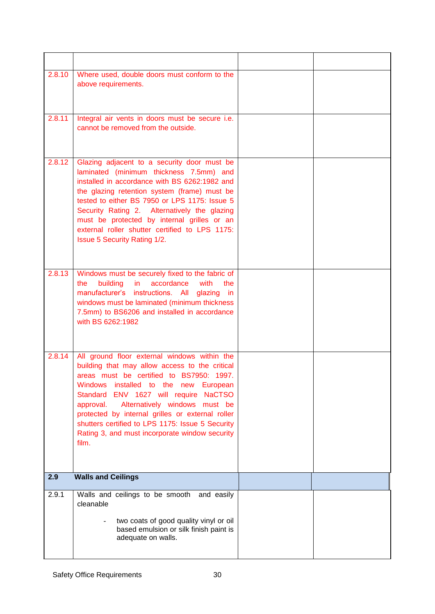| 2.8.10 | Where used, double doors must conform to the<br>above requirements.                                                                                                                                                                                                                                                                                                                                                                                                  |  |
|--------|----------------------------------------------------------------------------------------------------------------------------------------------------------------------------------------------------------------------------------------------------------------------------------------------------------------------------------------------------------------------------------------------------------------------------------------------------------------------|--|
| 2.8.11 | Integral air vents in doors must be secure i.e.<br>cannot be removed from the outside.                                                                                                                                                                                                                                                                                                                                                                               |  |
| 2.8.12 | Glazing adjacent to a security door must be<br>laminated (minimum thickness 7.5mm) and<br>installed in accordance with BS 6262:1982 and<br>the glazing retention system (frame) must be<br>tested to either BS 7950 or LPS 1175: Issue 5<br>Security Rating 2. Alternatively the glazing<br>must be protected by internal grilles or an<br>external roller shutter certified to LPS 1175:<br><b>Issue 5 Security Rating 1/2.</b>                                     |  |
| 2.8.13 | Windows must be securely fixed to the fabric of<br>accordance<br>with<br>building<br>in.<br>the<br>the<br>manufacturer's instructions. All glazing<br>in<br>windows must be laminated (minimum thickness<br>7.5mm) to BS6206 and installed in accordance<br>with BS 6262:1982                                                                                                                                                                                        |  |
| 2.8.14 | All ground floor external windows within the<br>building that may allow access to the critical<br>areas must be certified to BS7950: 1997.<br><b>Windows</b><br>installed to the new<br>European<br>Standard ENV 1627 will require<br><b>NaCTSO</b><br>Alternatively windows must be<br>approval.<br>protected by internal grilles or external roller<br>shutters certified to LPS 1175: Issue 5 Security<br>Rating 3, and must incorporate window security<br>film. |  |
| 2.9    | <b>Walls and Ceilings</b>                                                                                                                                                                                                                                                                                                                                                                                                                                            |  |
| 2.9.1  | Walls and ceilings to be smooth and easily<br>cleanable<br>two coats of good quality vinyl or oil<br>based emulsion or silk finish paint is<br>adequate on walls.                                                                                                                                                                                                                                                                                                    |  |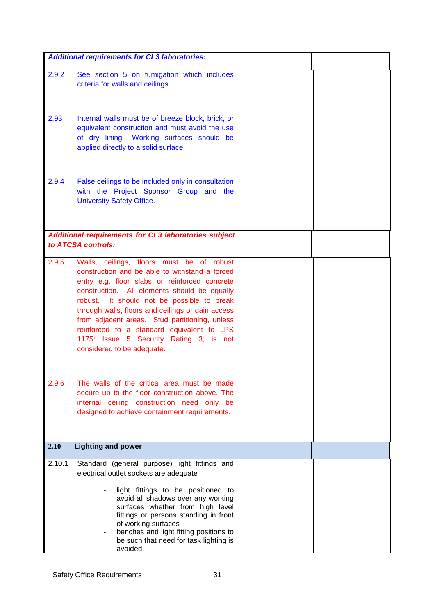|        | <b>Additional requirements for CL3 laboratories:</b>                                                                                                                                                                                                                                                                                                                                                                                                                     |  |
|--------|--------------------------------------------------------------------------------------------------------------------------------------------------------------------------------------------------------------------------------------------------------------------------------------------------------------------------------------------------------------------------------------------------------------------------------------------------------------------------|--|
| 2.9.2  | See section 5 on fumigation which includes<br>criteria for walls and ceilings.                                                                                                                                                                                                                                                                                                                                                                                           |  |
| 2.93   | Internal walls must be of breeze block, brick, or<br>equivalent construction and must avoid the use<br>of dry lining. Working surfaces should be<br>applied directly to a solid surface                                                                                                                                                                                                                                                                                  |  |
| 2.9.4  | False ceilings to be included only in consultation<br>with the Project Sponsor Group and the<br><b>University Safety Office.</b>                                                                                                                                                                                                                                                                                                                                         |  |
|        | Additional requirements for CL3 laboratories subject<br>to ATCSA controls:                                                                                                                                                                                                                                                                                                                                                                                               |  |
| 2.9.5  | Walls, ceilings, floors must be of robust<br>construction and be able to withstand a forced<br>entry e.g. floor slabs or reinforced concrete<br>construction. All elements should be equally<br>robust. It should not be possible to break<br>through walls, floors and ceilings or gain access<br>from adjacent areas. Stud partitioning, unless<br>reinforced to a standard equivalent to LPS<br>1175: Issue 5 Security Rating 3, is not<br>considered to be adequate. |  |
| 2.9.6  | The walls of the critical area must be made<br>secure up to the floor construction above. The<br>internal ceiling construction need only be<br>designed to achieve containment requirements.                                                                                                                                                                                                                                                                             |  |
| 2.10   | <b>Lighting and power</b>                                                                                                                                                                                                                                                                                                                                                                                                                                                |  |
| 2.10.1 | Standard (general purpose) light fittings and<br>electrical outlet sockets are adequate<br>light fittings to be positioned to<br>avoid all shadows over any working<br>surfaces whether from high level<br>fittings or persons standing in front<br>of working surfaces<br>benches and light fitting positions to<br>be such that need for task lighting is<br>avoided                                                                                                   |  |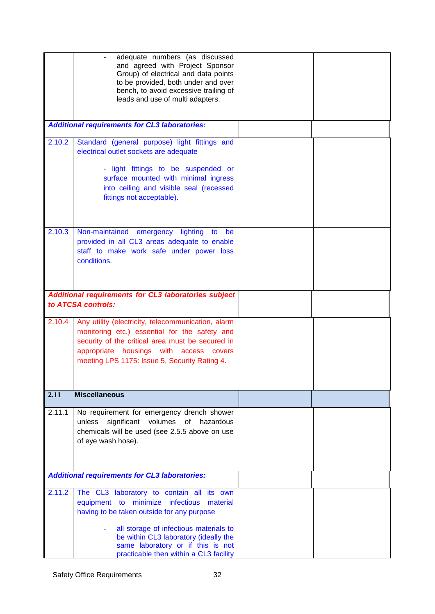|        | adequate numbers (as discussed                                              |  |
|--------|-----------------------------------------------------------------------------|--|
|        | and agreed with Project Sponsor                                             |  |
|        | Group) of electrical and data points                                        |  |
|        | to be provided, both under and over                                         |  |
|        | bench, to avoid excessive trailing of                                       |  |
|        | leads and use of multi adapters.                                            |  |
|        |                                                                             |  |
|        | <b>Additional requirements for CL3 laboratories:</b>                        |  |
|        |                                                                             |  |
| 2.10.2 | Standard (general purpose) light fittings and                               |  |
|        | electrical outlet sockets are adequate                                      |  |
|        |                                                                             |  |
|        | - light fittings to be suspended or                                         |  |
|        | surface mounted with minimal ingress                                        |  |
|        | into ceiling and visible seal (recessed                                     |  |
|        | fittings not acceptable).                                                   |  |
|        |                                                                             |  |
|        |                                                                             |  |
| 2.10.3 | Non-maintained emergency lighting<br>to<br>be                               |  |
|        | provided in all CL3 areas adequate to enable                                |  |
|        | staff to make work safe under power loss                                    |  |
|        | conditions.                                                                 |  |
|        |                                                                             |  |
|        |                                                                             |  |
|        |                                                                             |  |
|        | Additional requirements for CL3 laboratories subject                        |  |
|        | to ATCSA controls:                                                          |  |
|        |                                                                             |  |
| 2.10.4 | Any utility (electricity, telecommunication, alarm                          |  |
|        | monitoring etc.) essential for the safety and                               |  |
|        | security of the critical area must be secured in                            |  |
|        | appropriate housings with access covers                                     |  |
|        | meeting LPS 1175: Issue 5, Security Rating 4.                               |  |
|        |                                                                             |  |
|        |                                                                             |  |
| 2.11   | <b>Miscellaneous</b>                                                        |  |
|        |                                                                             |  |
| 2.11.1 | No requirement for emergency drench shower                                  |  |
|        | significant volumes of hazardous<br>unless                                  |  |
|        | chemicals will be used (see 2.5.5 above on use                              |  |
|        | of eye wash hose).                                                          |  |
|        |                                                                             |  |
|        |                                                                             |  |
|        |                                                                             |  |
|        | <b>Additional requirements for CL3 laboratories:</b>                        |  |
| 2.11.2 | The CL3 laboratory to contain all its own                                   |  |
|        | minimize<br>equipment to<br>infectious<br>material                          |  |
|        | having to be taken outside for any purpose                                  |  |
|        |                                                                             |  |
|        |                                                                             |  |
|        | all storage of infectious materials to                                      |  |
|        | be within CL3 laboratory (ideally the                                       |  |
|        | same laboratory or if this is not<br>practicable then within a CL3 facility |  |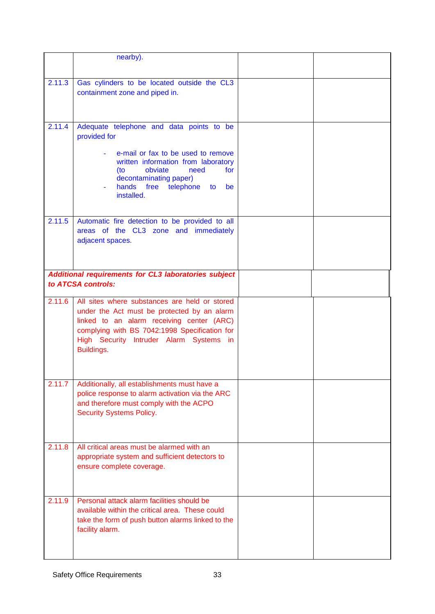|        | nearby).                                                                                                                                                                                                                                            |  |
|--------|-----------------------------------------------------------------------------------------------------------------------------------------------------------------------------------------------------------------------------------------------------|--|
|        |                                                                                                                                                                                                                                                     |  |
| 2.11.3 | Gas cylinders to be located outside the CL3<br>containment zone and piped in.                                                                                                                                                                       |  |
| 2.11.4 | Adequate telephone and data points to be<br>provided for                                                                                                                                                                                            |  |
|        | e-mail or fax to be used to remove<br>written information from laboratory<br>obviate<br>need<br>(to<br>for<br>decontaminating paper)<br>hands free telephone to be<br>installed.                                                                    |  |
| 2.11.5 | Automatic fire detection to be provided to all<br>areas of the CL3 zone and immediately<br>adjacent spaces.                                                                                                                                         |  |
|        | Additional requirements for CL3 laboratories subject<br>to ATCSA controls:                                                                                                                                                                          |  |
| 2.11.6 | All sites where substances are held or stored<br>under the Act must be protected by an alarm<br>linked to an alarm receiving center (ARC)<br>complying with BS 7042:1998 Specification for<br>High Security Intruder Alarm Systems in<br>Buildings. |  |
| 2.11.7 | Additionally, all establishments must have a<br>police response to alarm activation via the ARC<br>and therefore must comply with the ACPO<br><b>Security Systems Policy.</b>                                                                       |  |
| 2.11.8 | All critical areas must be alarmed with an<br>appropriate system and sufficient detectors to<br>ensure complete coverage.                                                                                                                           |  |
| 2.11.9 | Personal attack alarm facilities should be<br>available within the critical area. These could<br>take the form of push button alarms linked to the<br>facility alarm.                                                                               |  |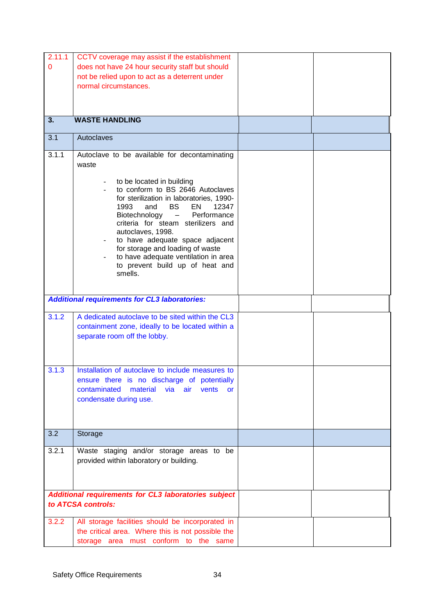| 2.11.1 | CCTV coverage may assist if the establishment                |  |
|--------|--------------------------------------------------------------|--|
| 0      | does not have 24 hour security staff but should              |  |
|        | not be relied upon to act as a deterrent under               |  |
|        |                                                              |  |
|        | normal circumstances.                                        |  |
|        |                                                              |  |
|        |                                                              |  |
|        |                                                              |  |
| 3.     | <b>WASTE HANDLING</b>                                        |  |
| 3.1    | Autoclaves                                                   |  |
| 3.1.1  | Autoclave to be available for decontaminating                |  |
|        | waste                                                        |  |
|        |                                                              |  |
|        | to be located in building                                    |  |
|        | to conform to BS 2646 Autoclaves                             |  |
|        | for sterilization in laboratories, 1990-                     |  |
|        | 1993<br><b>BS</b><br>EN<br>and<br>12347                      |  |
|        | Biotechnology<br>Performance<br>$\sim$ 100 $-$ 100 $\sim$    |  |
|        | criteria for steam sterilizers and                           |  |
|        | autoclaves, 1998.                                            |  |
|        | to have adequate space adjacent<br>$\overline{\phantom{a}}$  |  |
|        | for storage and loading of waste                             |  |
|        | to have adequate ventilation in area                         |  |
|        | to prevent build up of heat and                              |  |
|        | smells.                                                      |  |
|        |                                                              |  |
|        |                                                              |  |
|        | <b>Additional requirements for CL3 laboratories:</b>         |  |
| 3.1.2  | A dedicated autoclave to be sited within the CL3             |  |
|        | containment zone, ideally to be located within a             |  |
|        | separate room off the lobby.                                 |  |
|        |                                                              |  |
|        |                                                              |  |
|        |                                                              |  |
| 3.1.3  | Installation of autoclave to include measures to             |  |
|        | ensure there is no discharge of potentially                  |  |
|        | contaminated<br>material<br>via<br>vents<br>air<br><b>or</b> |  |
|        | condensate during use.                                       |  |
|        |                                                              |  |
|        |                                                              |  |
|        |                                                              |  |
| 3.2    | Storage                                                      |  |
|        |                                                              |  |
| 3.2.1  | Waste staging and/or storage areas to be                     |  |
|        | provided within laboratory or building.                      |  |
|        |                                                              |  |
|        |                                                              |  |
|        |                                                              |  |
|        | Additional requirements for CL3 laboratories subject         |  |
|        | to ATCSA controls:                                           |  |
|        |                                                              |  |
| 3.2.2  | All storage facilities should be incorporated in             |  |
|        | the critical area. Where this is not possible the            |  |
|        | storage area must conform to the same                        |  |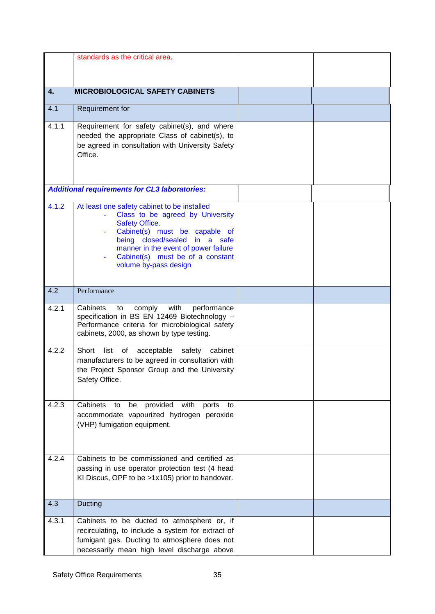|       | standards as the critical area.                                                                                                                                                                                                                                                 |  |
|-------|---------------------------------------------------------------------------------------------------------------------------------------------------------------------------------------------------------------------------------------------------------------------------------|--|
|       |                                                                                                                                                                                                                                                                                 |  |
| 4.    | <b>MICROBIOLOGICAL SAFETY CABINETS</b>                                                                                                                                                                                                                                          |  |
| 4.1   | Requirement for                                                                                                                                                                                                                                                                 |  |
| 4.1.1 | Requirement for safety cabinet(s), and where<br>needed the appropriate Class of cabinet(s), to<br>be agreed in consultation with University Safety<br>Office.                                                                                                                   |  |
|       | <b>Additional requirements for CL3 laboratories:</b>                                                                                                                                                                                                                            |  |
| 4.1.2 | At least one safety cabinet to be installed<br>Class to be agreed by University<br><b>Safety Office.</b><br>Cabinet(s) must be capable of<br>being closed/sealed in a safe<br>manner in the event of power failure<br>Cabinet(s) must be of a constant<br>volume by-pass design |  |
| 4.2   | Performance                                                                                                                                                                                                                                                                     |  |
| 4.2.1 | Cabinets<br>with<br>performance<br>comply<br>to<br>specification in BS EN 12469 Biotechnology -<br>Performance criteria for microbiological safety<br>cabinets, 2000, as shown by type testing.                                                                                 |  |
| 4.2.2 | Short list of<br>cabinet<br>acceptable<br>safety<br>manufacturers to be agreed in consultation with<br>the Project Sponsor Group and the University<br>Safety Office.                                                                                                           |  |
| 4.2.3 | Cabinets<br>provided with<br>to<br>ports<br>be<br>to<br>accommodate vapourized hydrogen peroxide<br>(VHP) fumigation equipment.                                                                                                                                                 |  |
| 4.2.4 | Cabinets to be commissioned and certified as<br>passing in use operator protection test (4 head<br>KI Discus, OPF to be >1x105) prior to handover.                                                                                                                              |  |
| 4.3   | Ducting                                                                                                                                                                                                                                                                         |  |
| 4.3.1 | Cabinets to be ducted to atmosphere or, if<br>recirculating, to include a system for extract of<br>fumigant gas. Ducting to atmosphere does not<br>necessarily mean high level discharge above                                                                                  |  |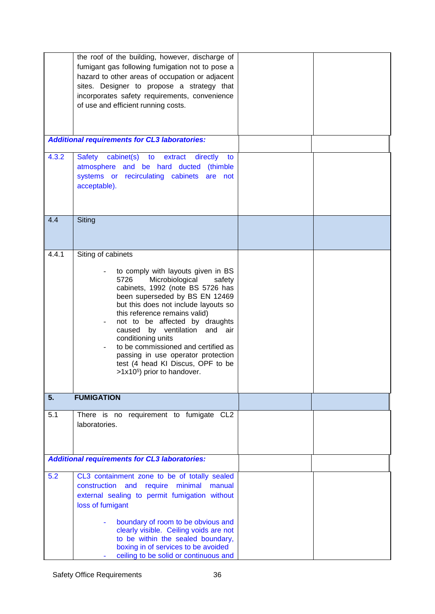|       | the roof of the building, however, discharge of<br>fumigant gas following fumigation not to pose a<br>hazard to other areas of occupation or adjacent<br>sites. Designer to propose a strategy that<br>incorporates safety requirements, convenience<br>of use and efficient running costs.                                                                                                                                                                                                                                    |  |
|-------|--------------------------------------------------------------------------------------------------------------------------------------------------------------------------------------------------------------------------------------------------------------------------------------------------------------------------------------------------------------------------------------------------------------------------------------------------------------------------------------------------------------------------------|--|
|       | <b>Additional requirements for CL3 laboratories:</b>                                                                                                                                                                                                                                                                                                                                                                                                                                                                           |  |
| 4.3.2 | cabinet(s) to<br><b>Safety</b><br>extract<br>directly<br>to<br>atmosphere and be hard ducted (thimble<br>systems or recirculating cabinets are not<br>acceptable).                                                                                                                                                                                                                                                                                                                                                             |  |
| 4.4   | Siting                                                                                                                                                                                                                                                                                                                                                                                                                                                                                                                         |  |
| 4.4.1 | Siting of cabinets<br>to comply with layouts given in BS<br>Microbiological<br>5726<br>safety<br>cabinets, 1992 (note BS 5726 has<br>been superseded by BS EN 12469<br>but this does not include layouts so<br>this reference remains valid)<br>not to be affected by draughts<br>$\overline{\phantom{a}}$<br>caused by ventilation and air<br>conditioning units<br>to be commissioned and certified as<br>passing in use operator protection<br>test (4 head KI Discus, OPF to be<br>>1x10 <sup>5</sup> ) prior to handover. |  |
| 5.    | <b>FUMIGATION</b>                                                                                                                                                                                                                                                                                                                                                                                                                                                                                                              |  |
| 5.1   | There is no requirement to fumigate CL2<br>laboratories.                                                                                                                                                                                                                                                                                                                                                                                                                                                                       |  |
|       | <b>Additional requirements for CL3 laboratories:</b>                                                                                                                                                                                                                                                                                                                                                                                                                                                                           |  |
| 5.2   | CL3 containment zone to be of totally sealed<br>construction and<br>require minimal<br>manual<br>external sealing to permit fumigation without<br>loss of fumigant<br>boundary of room to be obvious and<br>clearly visible. Ceiling voids are not<br>to be within the sealed boundary,<br>boxing in of services to be avoided<br>ceiling to be solid or continuous and                                                                                                                                                        |  |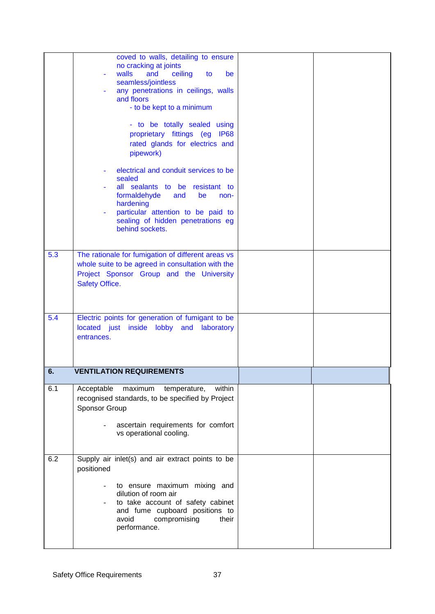|     | coved to walls, detailing to ensure<br>no cracking at joints<br>walls<br>ceiling<br>and<br>to<br>be<br>÷,<br>seamless/jointless<br>any penetrations in ceilings, walls<br>and floors<br>- to be kept to a minimum<br>- to be totally sealed using<br>proprietary fittings (eg IP68<br>rated glands for electrics and<br>pipework)<br>electrical and conduit services to be<br>sealed<br>all sealants to be resistant to<br>formaldehyde<br>and<br>be<br>non-<br>hardening<br>particular attention to be paid to<br>sealing of hidden penetrations eg<br>behind sockets. |  |
|-----|-------------------------------------------------------------------------------------------------------------------------------------------------------------------------------------------------------------------------------------------------------------------------------------------------------------------------------------------------------------------------------------------------------------------------------------------------------------------------------------------------------------------------------------------------------------------------|--|
| 5.3 | The rationale for fumigation of different areas vs<br>whole suite to be agreed in consultation with the<br>Project Sponsor Group and the University<br>Safety Office.                                                                                                                                                                                                                                                                                                                                                                                                   |  |
| 5.4 | Electric points for generation of fumigant to be<br>located just inside lobby and<br>laboratory<br>entrances.                                                                                                                                                                                                                                                                                                                                                                                                                                                           |  |
| 6.  | <b>VENTILATION REQUIREMENTS</b>                                                                                                                                                                                                                                                                                                                                                                                                                                                                                                                                         |  |
| 6.1 | Acceptable<br>maximum<br>within<br>temperature,<br>recognised standards, to be specified by Project<br>Sponsor Group<br>ascertain requirements for comfort<br>vs operational cooling.                                                                                                                                                                                                                                                                                                                                                                                   |  |
| 6.2 | Supply air inlet(s) and air extract points to be<br>positioned<br>to ensure maximum mixing and<br>dilution of room air<br>to take account of safety cabinet<br>and fume cupboard positions to<br>avoid<br>compromising<br>their<br>performance.                                                                                                                                                                                                                                                                                                                         |  |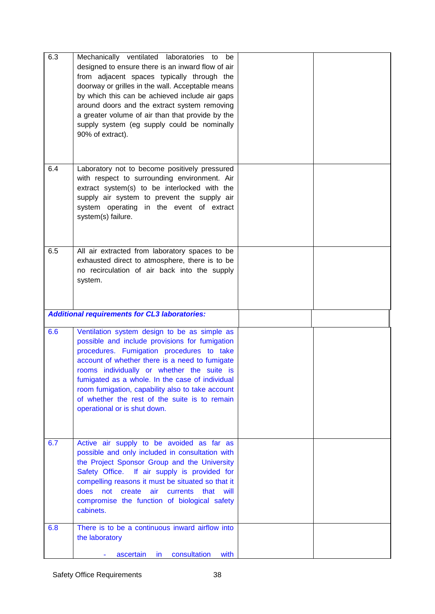| 6.3 | Mechanically ventilated laboratories to<br>be<br>designed to ensure there is an inward flow of air<br>from adjacent spaces typically through the<br>doorway or grilles in the wall. Acceptable means<br>by which this can be achieved include air gaps<br>around doors and the extract system removing<br>a greater volume of air than that provide by the<br>supply system (eg supply could be nominally<br>90% of extract).       |  |
|-----|-------------------------------------------------------------------------------------------------------------------------------------------------------------------------------------------------------------------------------------------------------------------------------------------------------------------------------------------------------------------------------------------------------------------------------------|--|
| 6.4 | Laboratory not to become positively pressured<br>with respect to surrounding environment. Air<br>extract system(s) to be interlocked with the<br>supply air system to prevent the supply air<br>system operating in the event of extract<br>system(s) failure.                                                                                                                                                                      |  |
| 6.5 | All air extracted from laboratory spaces to be<br>exhausted direct to atmosphere, there is to be<br>no recirculation of air back into the supply<br>system.                                                                                                                                                                                                                                                                         |  |
|     | <b>Additional requirements for CL3 laboratories:</b>                                                                                                                                                                                                                                                                                                                                                                                |  |
| 6.6 | Ventilation system design to be as simple as<br>possible and include provisions for fumigation<br>procedures. Fumigation procedures to take<br>account of whether there is a need to fumigate<br>rooms individually or whether the suite is<br>fumigated as a whole. In the case of individual<br>room fumigation, capability also to take account<br>of whether the rest of the suite is to remain<br>operational or is shut down. |  |
| 6.7 | Active air supply to be avoided as far as<br>possible and only included in consultation with<br>the Project Sponsor Group and the University<br>Safety Office. If air supply is provided for<br>compelling reasons it must be situated so that it<br>does<br>create<br>air<br>not<br>currents that<br>will<br>compromise the function of biological safety<br>cabinets.                                                             |  |
| 6.8 | There is to be a continuous inward airflow into<br>the laboratory                                                                                                                                                                                                                                                                                                                                                                   |  |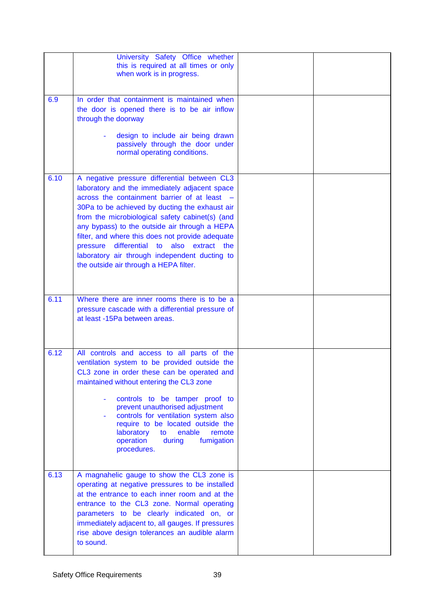|      | University Safety Office whether<br>this is required at all times or only<br>when work is in progress.                                                                                                                                                                                                                                                                                                                                                                                             |  |
|------|----------------------------------------------------------------------------------------------------------------------------------------------------------------------------------------------------------------------------------------------------------------------------------------------------------------------------------------------------------------------------------------------------------------------------------------------------------------------------------------------------|--|
| 6.9  | In order that containment is maintained when<br>the door is opened there is to be air inflow<br>through the doorway<br>design to include air being drawn<br>passively through the door under<br>normal operating conditions.                                                                                                                                                                                                                                                                       |  |
| 6.10 | A negative pressure differential between CL3<br>laboratory and the immediately adjacent space<br>across the containment barrier of at least -<br>30Pa to be achieved by ducting the exhaust air<br>from the microbiological safety cabinet(s) (and<br>any bypass) to the outside air through a HEPA<br>filter, and where this does not provide adequate<br>differential to also extract the<br>pressure<br>laboratory air through independent ducting to<br>the outside air through a HEPA filter. |  |
| 6.11 | Where there are inner rooms there is to be a<br>pressure cascade with a differential pressure of<br>at least -15Pa between areas.                                                                                                                                                                                                                                                                                                                                                                  |  |
| 6.12 | All controls and access to all parts of the<br>ventilation system to be provided outside the<br>CL3 zone in order these can be operated and<br>maintained without entering the CL3 zone<br>controls to be tamper proof to<br>prevent unauthorised adjustment<br>controls for ventilation system also<br>require to be located outside the<br>laboratory<br>enable<br>remote<br>to<br>operation<br>during<br>fumigation<br>procedures.                                                              |  |
| 6.13 | A magnahelic gauge to show the CL3 zone is<br>operating at negative pressures to be installed<br>at the entrance to each inner room and at the<br>entrance to the CL3 zone. Normal operating<br>parameters to be clearly indicated on, or<br>immediately adjacent to, all gauges. If pressures<br>rise above design tolerances an audible alarm<br>to sound.                                                                                                                                       |  |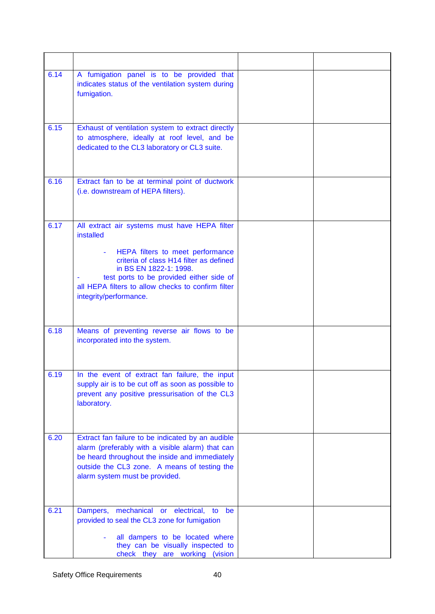| 6.14 | A fumigation panel is to be provided that<br>indicates status of the ventilation system during<br>fumigation.                                                                                                                                                                                   |  |
|------|-------------------------------------------------------------------------------------------------------------------------------------------------------------------------------------------------------------------------------------------------------------------------------------------------|--|
| 6.15 | Exhaust of ventilation system to extract directly<br>to atmosphere, ideally at roof level, and be<br>dedicated to the CL3 laboratory or CL3 suite.                                                                                                                                              |  |
| 6.16 | Extract fan to be at terminal point of ductwork<br>(i.e. downstream of HEPA filters).                                                                                                                                                                                                           |  |
| 6.17 | All extract air systems must have HEPA filter<br>installed<br>HEPA filters to meet performance<br>criteria of class H14 filter as defined<br>in BS EN 1822-1: 1998.<br>test ports to be provided either side of<br>all HEPA filters to allow checks to confirm filter<br>integrity/performance. |  |
| 6.18 | Means of preventing reverse air flows to be<br>incorporated into the system.                                                                                                                                                                                                                    |  |
| 6.19 | In the event of extract fan failure, the input<br>supply air is to be cut off as soon as possible to<br>prevent any positive pressurisation of the CL3<br>laboratory.                                                                                                                           |  |
| 6.20 | Extract fan failure to be indicated by an audible<br>alarm (preferably with a visible alarm) that can<br>be heard throughout the inside and immediately<br>outside the CL3 zone. A means of testing the<br>alarm system must be provided.                                                       |  |
| 6.21 | Dampers, mechanical or<br>electrical,<br>to<br>be<br>provided to seal the CL3 zone for fumigation<br>all dampers to be located where<br>they can be visually inspected to<br>check they are working (vision                                                                                     |  |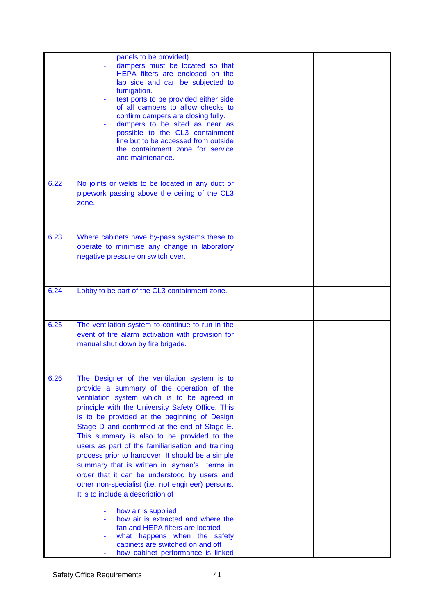|      | panels to be provided).<br>dampers must be located so that<br>HEPA filters are enclosed on the<br>lab side and can be subjected to<br>fumigation.<br>test ports to be provided either side<br>of all dampers to allow checks to<br>confirm dampers are closing fully.<br>dampers to be sited as near as<br>possible to the CL3 containment<br>line but to be accessed from outside<br>the containment zone for service<br>and maintenance.                                                                                                                                                                                                                                                                                                                                                                                                               |  |
|------|----------------------------------------------------------------------------------------------------------------------------------------------------------------------------------------------------------------------------------------------------------------------------------------------------------------------------------------------------------------------------------------------------------------------------------------------------------------------------------------------------------------------------------------------------------------------------------------------------------------------------------------------------------------------------------------------------------------------------------------------------------------------------------------------------------------------------------------------------------|--|
| 6.22 | No joints or welds to be located in any duct or<br>pipework passing above the ceiling of the CL3<br>zone.                                                                                                                                                                                                                                                                                                                                                                                                                                                                                                                                                                                                                                                                                                                                                |  |
| 6.23 | Where cabinets have by-pass systems these to<br>operate to minimise any change in laboratory<br>negative pressure on switch over.                                                                                                                                                                                                                                                                                                                                                                                                                                                                                                                                                                                                                                                                                                                        |  |
| 6.24 | Lobby to be part of the CL3 containment zone.                                                                                                                                                                                                                                                                                                                                                                                                                                                                                                                                                                                                                                                                                                                                                                                                            |  |
| 6.25 | The ventilation system to continue to run in the<br>event of fire alarm activation with provision for<br>manual shut down by fire brigade.                                                                                                                                                                                                                                                                                                                                                                                                                                                                                                                                                                                                                                                                                                               |  |
| 6.26 | The Designer of the ventilation system is to<br>provide a summary of the operation of the<br>ventilation system which is to be agreed in<br>principle with the University Safety Office. This<br>is to be provided at the beginning of Design<br>Stage D and confirmed at the end of Stage E.<br>This summary is also to be provided to the<br>users as part of the familiarisation and training<br>process prior to handover. It should be a simple<br>summary that is written in layman's terms in<br>order that it can be understood by users and<br>other non-specialist (i.e. not engineer) persons.<br>It is to include a description of<br>how air is supplied<br>how air is extracted and where the<br>fan and HEPA filters are located<br>what happens when the safety<br>cabinets are switched on and off<br>how cabinet performance is linked |  |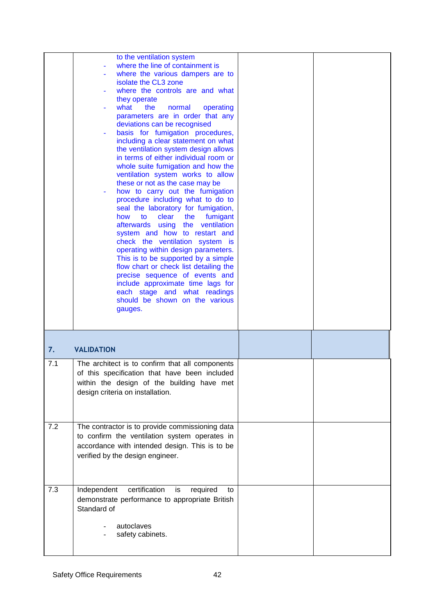|     | to the ventilation system<br>where the line of containment is<br>where the various dampers are to<br>isolate the CL3 zone<br>where the controls are and what<br>they operate<br>what<br>the<br>normal<br>operating<br>parameters are in order that any<br>deviations can be recognised<br>basis for fumigation procedures,<br>including a clear statement on what<br>the ventilation system design allows<br>in terms of either individual room or<br>whole suite fumigation and how the<br>ventilation system works to allow<br>these or not as the case may be<br>how to carry out the fumigation<br>procedure including what to do to<br>seal the laboratory for fumigation,<br>to<br>clear<br>the<br>fumigant<br>how<br>the ventilation<br>afterwards using<br>system and how to restart and<br>check the ventilation system is<br>operating within design parameters.<br>This is to be supported by a simple<br>flow chart or check list detailing the<br>precise sequence of events and<br>include approximate time lags for<br>each stage and what readings<br>should be shown on the various<br>gauges. |  |
|-----|-----------------------------------------------------------------------------------------------------------------------------------------------------------------------------------------------------------------------------------------------------------------------------------------------------------------------------------------------------------------------------------------------------------------------------------------------------------------------------------------------------------------------------------------------------------------------------------------------------------------------------------------------------------------------------------------------------------------------------------------------------------------------------------------------------------------------------------------------------------------------------------------------------------------------------------------------------------------------------------------------------------------------------------------------------------------------------------------------------------------|--|
| 7.  | <b>VALIDATION</b>                                                                                                                                                                                                                                                                                                                                                                                                                                                                                                                                                                                                                                                                                                                                                                                                                                                                                                                                                                                                                                                                                               |  |
| 7.1 | The architect is to confirm that all components<br>of this specification that have been included<br>within the design of the building have met<br>design criteria on installation.                                                                                                                                                                                                                                                                                                                                                                                                                                                                                                                                                                                                                                                                                                                                                                                                                                                                                                                              |  |
| 7.2 | The contractor is to provide commissioning data<br>to confirm the ventilation system operates in<br>accordance with intended design. This is to be<br>verified by the design engineer.                                                                                                                                                                                                                                                                                                                                                                                                                                                                                                                                                                                                                                                                                                                                                                                                                                                                                                                          |  |
| 7.3 | certification<br>Independent<br>required<br>is<br>to<br>demonstrate performance to appropriate British<br>Standard of<br>autoclaves<br>safety cabinets.                                                                                                                                                                                                                                                                                                                                                                                                                                                                                                                                                                                                                                                                                                                                                                                                                                                                                                                                                         |  |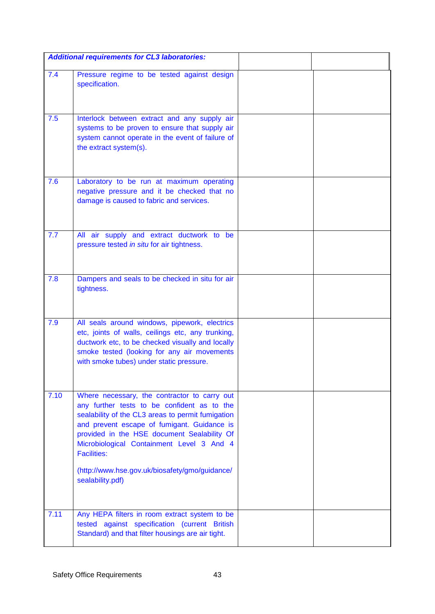|      | <b>Additional requirements for CL3 laboratories:</b>                                                                                                                                                                                                                                                                                                                                    |  |
|------|-----------------------------------------------------------------------------------------------------------------------------------------------------------------------------------------------------------------------------------------------------------------------------------------------------------------------------------------------------------------------------------------|--|
| 7.4  | Pressure regime to be tested against design<br>specification.                                                                                                                                                                                                                                                                                                                           |  |
| 7.5  | Interlock between extract and any supply air<br>systems to be proven to ensure that supply air<br>system cannot operate in the event of failure of<br>the extract system(s).                                                                                                                                                                                                            |  |
| 7.6  | Laboratory to be run at maximum operating<br>negative pressure and it be checked that no<br>damage is caused to fabric and services.                                                                                                                                                                                                                                                    |  |
| 7.7  | All air supply and extract ductwork to be<br>pressure tested in situ for air tightness.                                                                                                                                                                                                                                                                                                 |  |
| 7.8  | Dampers and seals to be checked in situ for air<br>tightness.                                                                                                                                                                                                                                                                                                                           |  |
| 7.9  | All seals around windows, pipework, electrics<br>etc, joints of walls, ceilings etc, any trunking,<br>ductwork etc, to be checked visually and locally<br>smoke tested (looking for any air movements<br>with smoke tubes) under static pressure.                                                                                                                                       |  |
| 7.10 | Where necessary, the contractor to carry out<br>any further tests to be confident as to the<br>sealability of the CL3 areas to permit fumigation<br>and prevent escape of fumigant. Guidance is<br>provided in the HSE document Sealability Of<br>Microbiological Containment Level 3 And 4<br><b>Facilities:</b><br>(http://www.hse.gov.uk/biosafety/gmo/guidance/<br>sealability.pdf) |  |
| 7.11 | Any HEPA filters in room extract system to be<br>tested against specification (current British<br>Standard) and that filter housings are air tight.                                                                                                                                                                                                                                     |  |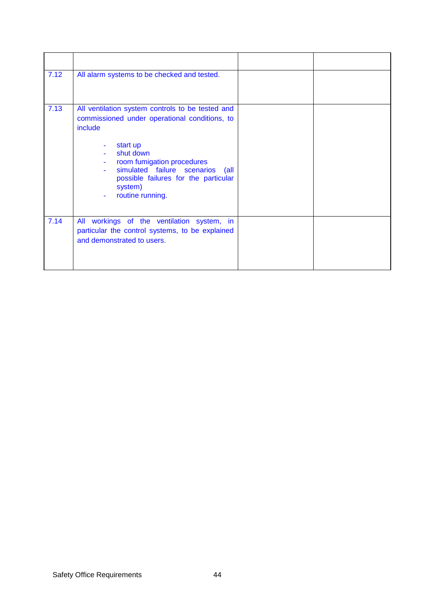| 7.12 | All alarm systems to be checked and tested.                                                                                                                                                                                                                                       |  |
|------|-----------------------------------------------------------------------------------------------------------------------------------------------------------------------------------------------------------------------------------------------------------------------------------|--|
| 7.13 | All ventilation system controls to be tested and<br>commissioned under operational conditions, to<br>include<br>start up<br>shut down<br>room fumigation procedures<br>simulated failure scenarios<br>(all<br>possible failures for the particular<br>system)<br>routine running. |  |
| 7.14 | All workings of the ventilation system, in<br>particular the control systems, to be explained<br>and demonstrated to users.                                                                                                                                                       |  |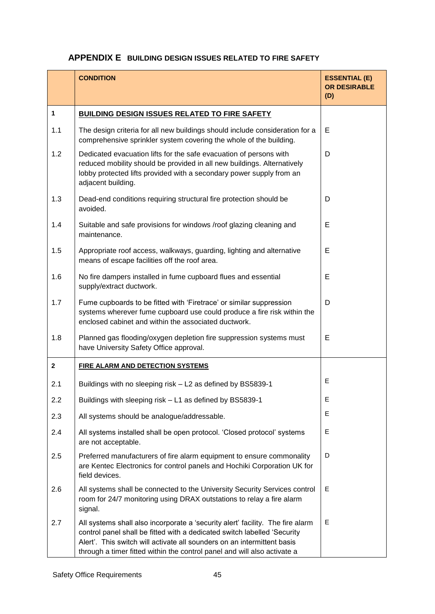# **APPENDIX E BUILDING DESIGN ISSUES RELATED TO FIRE SAFETY**

|              | <b>CONDITION</b>                                                                                                                                                                                                                                                                                                  | <b>ESSENTIAL (E)</b><br><b>OR DESIRABLE</b><br>(D) |
|--------------|-------------------------------------------------------------------------------------------------------------------------------------------------------------------------------------------------------------------------------------------------------------------------------------------------------------------|----------------------------------------------------|
| $\mathbf{1}$ | <b>BUILDING DESIGN ISSUES RELATED TO FIRE SAFETY</b>                                                                                                                                                                                                                                                              |                                                    |
| 1.1          | The design criteria for all new buildings should include consideration for a<br>comprehensive sprinkler system covering the whole of the building.                                                                                                                                                                | Е                                                  |
| 1.2          | Dedicated evacuation lifts for the safe evacuation of persons with<br>reduced mobility should be provided in all new buildings. Alternatively<br>lobby protected lifts provided with a secondary power supply from an<br>adjacent building.                                                                       | D                                                  |
| 1.3          | Dead-end conditions requiring structural fire protection should be<br>avoided.                                                                                                                                                                                                                                    | D                                                  |
| 1.4          | Suitable and safe provisions for windows /roof glazing cleaning and<br>maintenance.                                                                                                                                                                                                                               | E                                                  |
| 1.5          | Appropriate roof access, walkways, guarding, lighting and alternative<br>means of escape facilities off the roof area.                                                                                                                                                                                            | E                                                  |
| 1.6          | No fire dampers installed in fume cupboard flues and essential<br>supply/extract ductwork.                                                                                                                                                                                                                        | Е                                                  |
| 1.7          | Fume cupboards to be fitted with 'Firetrace' or similar suppression<br>systems wherever fume cupboard use could produce a fire risk within the<br>enclosed cabinet and within the associated ductwork.                                                                                                            | D                                                  |
| 1.8          | Planned gas flooding/oxygen depletion fire suppression systems must<br>have University Safety Office approval.                                                                                                                                                                                                    | E                                                  |
| $\mathbf{2}$ | <b>FIRE ALARM AND DETECTION SYSTEMS</b>                                                                                                                                                                                                                                                                           |                                                    |
| 2.1          | Buildings with no sleeping risk - L2 as defined by BS5839-1                                                                                                                                                                                                                                                       | E                                                  |
| 2.2          | Buildings with sleeping risk - L1 as defined by BS5839-1                                                                                                                                                                                                                                                          | E                                                  |
| 2.3          | All systems should be analogue/addressable.                                                                                                                                                                                                                                                                       | E                                                  |
| 2.4          | All systems installed shall be open protocol. 'Closed protocol' systems<br>are not acceptable.                                                                                                                                                                                                                    | E                                                  |
| 2.5          | Preferred manufacturers of fire alarm equipment to ensure commonality<br>are Kentec Electronics for control panels and Hochiki Corporation UK for<br>field devices.                                                                                                                                               | D                                                  |
| 2.6          | All systems shall be connected to the University Security Services control<br>room for 24/7 monitoring using DRAX outstations to relay a fire alarm<br>signal.                                                                                                                                                    | E                                                  |
| 2.7          | All systems shall also incorporate a 'security alert' facility. The fire alarm<br>control panel shall be fitted with a dedicated switch labelled 'Security<br>Alert'. This switch will activate all sounders on an intermittent basis<br>through a timer fitted within the control panel and will also activate a | E                                                  |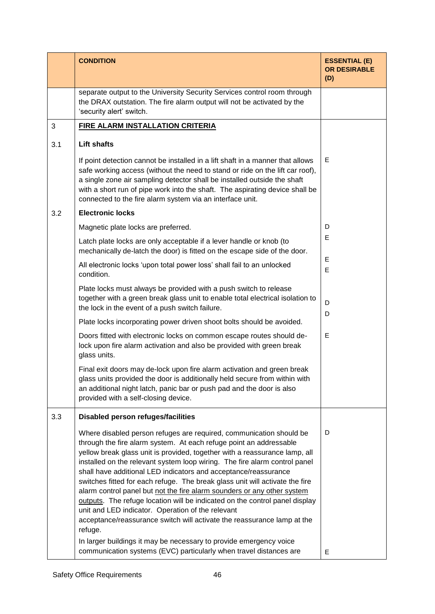|     | <b>CONDITION</b>                                                                                                                                                                                                                                                                                                                                                                                                                                                                                                                                                                                                                                                                                                                                                                                                                    | <b>ESSENTIAL (E)</b><br><b>OR DESIRABLE</b><br>(D) |
|-----|-------------------------------------------------------------------------------------------------------------------------------------------------------------------------------------------------------------------------------------------------------------------------------------------------------------------------------------------------------------------------------------------------------------------------------------------------------------------------------------------------------------------------------------------------------------------------------------------------------------------------------------------------------------------------------------------------------------------------------------------------------------------------------------------------------------------------------------|----------------------------------------------------|
|     | separate output to the University Security Services control room through<br>the DRAX outstation. The fire alarm output will not be activated by the<br>'security alert' switch.                                                                                                                                                                                                                                                                                                                                                                                                                                                                                                                                                                                                                                                     |                                                    |
| 3   | <b>FIRE ALARM INSTALLATION CRITERIA</b>                                                                                                                                                                                                                                                                                                                                                                                                                                                                                                                                                                                                                                                                                                                                                                                             |                                                    |
| 3.1 | <b>Lift shafts</b>                                                                                                                                                                                                                                                                                                                                                                                                                                                                                                                                                                                                                                                                                                                                                                                                                  |                                                    |
|     | If point detection cannot be installed in a lift shaft in a manner that allows<br>safe working access (without the need to stand or ride on the lift car roof),<br>a single zone air sampling detector shall be installed outside the shaft<br>with a short run of pipe work into the shaft. The aspirating device shall be<br>connected to the fire alarm system via an interface unit.                                                                                                                                                                                                                                                                                                                                                                                                                                            | E                                                  |
| 3.2 | <b>Electronic locks</b>                                                                                                                                                                                                                                                                                                                                                                                                                                                                                                                                                                                                                                                                                                                                                                                                             |                                                    |
|     | Magnetic plate locks are preferred.                                                                                                                                                                                                                                                                                                                                                                                                                                                                                                                                                                                                                                                                                                                                                                                                 | D                                                  |
|     | Latch plate locks are only acceptable if a lever handle or knob (to<br>mechanically de-latch the door) is fitted on the escape side of the door.                                                                                                                                                                                                                                                                                                                                                                                                                                                                                                                                                                                                                                                                                    | E                                                  |
|     | All electronic locks 'upon total power loss' shall fail to an unlocked<br>condition.                                                                                                                                                                                                                                                                                                                                                                                                                                                                                                                                                                                                                                                                                                                                                | E<br>E                                             |
|     | Plate locks must always be provided with a push switch to release<br>together with a green break glass unit to enable total electrical isolation to<br>the lock in the event of a push switch failure.                                                                                                                                                                                                                                                                                                                                                                                                                                                                                                                                                                                                                              | D<br>D                                             |
|     | Plate locks incorporating power driven shoot bolts should be avoided.                                                                                                                                                                                                                                                                                                                                                                                                                                                                                                                                                                                                                                                                                                                                                               |                                                    |
|     | Doors fitted with electronic locks on common escape routes should de-<br>lock upon fire alarm activation and also be provided with green break<br>glass units.                                                                                                                                                                                                                                                                                                                                                                                                                                                                                                                                                                                                                                                                      | E                                                  |
|     | Final exit doors may de-lock upon fire alarm activation and green break<br>glass units provided the door is additionally held secure from within with<br>an additional night latch, panic bar or push pad and the door is also<br>provided with a self-closing device.                                                                                                                                                                                                                                                                                                                                                                                                                                                                                                                                                              |                                                    |
| 3.3 | Disabled person refuges/facilities                                                                                                                                                                                                                                                                                                                                                                                                                                                                                                                                                                                                                                                                                                                                                                                                  |                                                    |
|     | Where disabled person refuges are required, communication should be<br>through the fire alarm system. At each refuge point an addressable<br>yellow break glass unit is provided, together with a reassurance lamp, all<br>installed on the relevant system loop wiring. The fire alarm control panel<br>shall have additional LED indicators and acceptance/reassurance<br>switches fitted for each refuge. The break glass unit will activate the fire<br>alarm control panel but not the fire alarm sounders or any other system<br>outputs. The refuge location will be indicated on the control panel display<br>unit and LED indicator. Operation of the relevant<br>acceptance/reassurance switch will activate the reassurance lamp at the<br>refuge.<br>In larger buildings it may be necessary to provide emergency voice | D                                                  |
|     | communication systems (EVC) particularly when travel distances are                                                                                                                                                                                                                                                                                                                                                                                                                                                                                                                                                                                                                                                                                                                                                                  | E                                                  |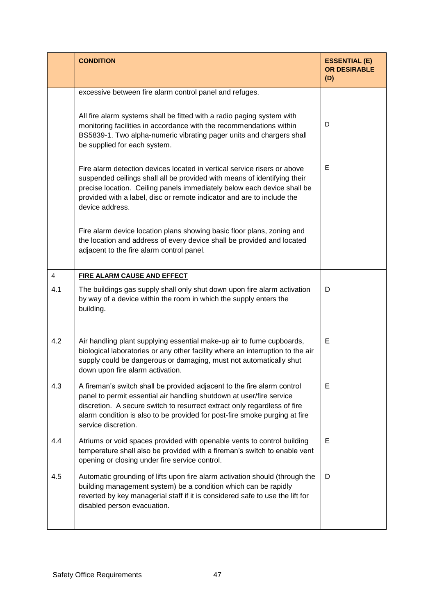|                | <b>CONDITION</b>                                                                                                                                                                                                                                                                                                                 | <b>ESSENTIAL (E)</b><br><b>OR DESIRABLE</b><br>(D) |
|----------------|----------------------------------------------------------------------------------------------------------------------------------------------------------------------------------------------------------------------------------------------------------------------------------------------------------------------------------|----------------------------------------------------|
|                | excessive between fire alarm control panel and refuges.                                                                                                                                                                                                                                                                          |                                                    |
|                | All fire alarm systems shall be fitted with a radio paging system with<br>monitoring facilities in accordance with the recommendations within<br>BS5839-1. Two alpha-numeric vibrating pager units and chargers shall<br>be supplied for each system.                                                                            | D                                                  |
|                | Fire alarm detection devices located in vertical service risers or above<br>suspended ceilings shall all be provided with means of identifying their<br>precise location. Ceiling panels immediately below each device shall be<br>provided with a label, disc or remote indicator and are to include the<br>device address.     | E                                                  |
|                | Fire alarm device location plans showing basic floor plans, zoning and<br>the location and address of every device shall be provided and located<br>adjacent to the fire alarm control panel.                                                                                                                                    |                                                    |
| $\overline{4}$ | <b>FIRE ALARM CAUSE AND EFFECT</b>                                                                                                                                                                                                                                                                                               |                                                    |
| 4.1            | The buildings gas supply shall only shut down upon fire alarm activation<br>by way of a device within the room in which the supply enters the<br>building.                                                                                                                                                                       | D                                                  |
| 4.2            | Air handling plant supplying essential make-up air to fume cupboards,<br>biological laboratories or any other facility where an interruption to the air<br>supply could be dangerous or damaging, must not automatically shut<br>down upon fire alarm activation.                                                                | E                                                  |
| 4.3            | A fireman's switch shall be provided adjacent to the fire alarm control<br>panel to permit essential air handling shutdown at user/fire service<br>discretion. A secure switch to resurrect extract only regardless of fire<br>alarm condition is also to be provided for post-fire smoke purging at fire<br>service discretion. | E                                                  |
| 4.4            | Atriums or void spaces provided with openable vents to control building<br>temperature shall also be provided with a fireman's switch to enable vent<br>opening or closing under fire service control.                                                                                                                           | E                                                  |
| 4.5            | Automatic grounding of lifts upon fire alarm activation should (through the<br>building management system) be a condition which can be rapidly<br>reverted by key managerial staff if it is considered safe to use the lift for<br>disabled person evacuation.                                                                   | D                                                  |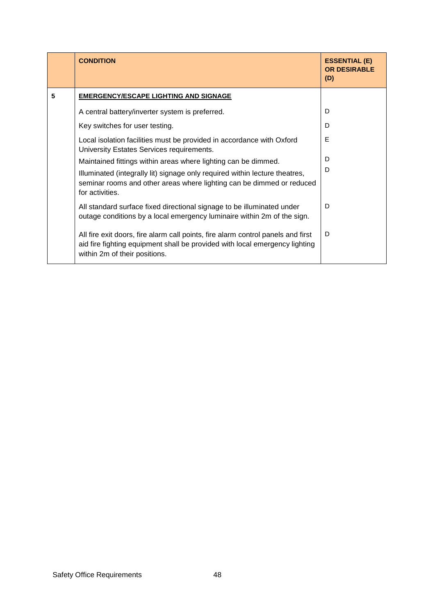|   | <b>CONDITION</b>                                                                                                                                                                                 | <b>ESSENTIAL (E)</b><br><b>OR DESIRABLE</b><br>(D) |
|---|--------------------------------------------------------------------------------------------------------------------------------------------------------------------------------------------------|----------------------------------------------------|
| 5 | <b>EMERGENCY/ESCAPE LIGHTING AND SIGNAGE</b>                                                                                                                                                     |                                                    |
|   | A central battery/inverter system is preferred.                                                                                                                                                  | D                                                  |
|   | Key switches for user testing.                                                                                                                                                                   | D                                                  |
|   | Local isolation facilities must be provided in accordance with Oxford<br>University Estates Services requirements.                                                                               | E                                                  |
|   | Maintained fittings within areas where lighting can be dimmed.                                                                                                                                   | D                                                  |
|   | Illuminated (integrally lit) signage only required within lecture theatres,<br>seminar rooms and other areas where lighting can be dimmed or reduced<br>for activities.                          | D                                                  |
|   | All standard surface fixed directional signage to be illuminated under<br>outage conditions by a local emergency luminaire within 2m of the sign.                                                | D                                                  |
|   | All fire exit doors, fire alarm call points, fire alarm control panels and first<br>aid fire fighting equipment shall be provided with local emergency lighting<br>within 2m of their positions. | D                                                  |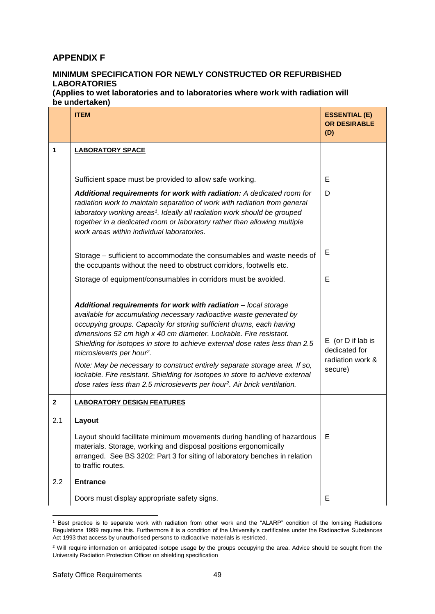# **APPENDIX F**

# **MINIMUM SPECIFICATION FOR NEWLY CONSTRUCTED OR REFURBISHED LABORATORIES**

**(Applies to wet laboratories and to laboratories where work with radiation will be undertaken)**

|              | <b>ITEM</b>                                                                                                                                                                                                                                                                                                                                                                                                                                                                                                                                                                                                                                                          | <b>ESSENTIAL (E)</b><br><b>OR DESIRABLE</b><br>(D)                    |
|--------------|----------------------------------------------------------------------------------------------------------------------------------------------------------------------------------------------------------------------------------------------------------------------------------------------------------------------------------------------------------------------------------------------------------------------------------------------------------------------------------------------------------------------------------------------------------------------------------------------------------------------------------------------------------------------|-----------------------------------------------------------------------|
| 1            | <b>LABORATORY SPACE</b>                                                                                                                                                                                                                                                                                                                                                                                                                                                                                                                                                                                                                                              |                                                                       |
|              |                                                                                                                                                                                                                                                                                                                                                                                                                                                                                                                                                                                                                                                                      |                                                                       |
|              | Sufficient space must be provided to allow safe working.                                                                                                                                                                                                                                                                                                                                                                                                                                                                                                                                                                                                             | Е                                                                     |
|              | Additional requirements for work with radiation: A dedicated room for<br>radiation work to maintain separation of work with radiation from general<br>laboratory working areas <sup>1</sup> . Ideally all radiation work should be grouped<br>together in a dedicated room or laboratory rather than allowing multiple<br>work areas within individual laboratories.                                                                                                                                                                                                                                                                                                 | D                                                                     |
|              | Storage - sufficient to accommodate the consumables and waste needs of<br>the occupants without the need to obstruct corridors, footwells etc.                                                                                                                                                                                                                                                                                                                                                                                                                                                                                                                       | Е                                                                     |
|              | Storage of equipment/consumables in corridors must be avoided.                                                                                                                                                                                                                                                                                                                                                                                                                                                                                                                                                                                                       | Е                                                                     |
|              | Additional requirements for work with radiation - local storage<br>available for accumulating necessary radioactive waste generated by<br>occupying groups. Capacity for storing sufficient drums, each having<br>dimensions 52 cm high x 40 cm diameter. Lockable. Fire resistant.<br>Shielding for isotopes in store to achieve external dose rates less than 2.5<br>microsieverts per hour <sup>2</sup> .<br>Note: May be necessary to construct entirely separate storage area. If so,<br>lockable. Fire resistant. Shielding for isotopes in store to achieve external<br>dose rates less than 2.5 microsieverts per hour <sup>2</sup> . Air brick ventilation. | $E$ (or $D$ if lab is<br>dedicated for<br>radiation work &<br>secure) |
| $\mathbf{2}$ | <b>LABORATORY DESIGN FEATURES</b>                                                                                                                                                                                                                                                                                                                                                                                                                                                                                                                                                                                                                                    |                                                                       |
| 2.1          | Layout                                                                                                                                                                                                                                                                                                                                                                                                                                                                                                                                                                                                                                                               |                                                                       |
|              | Layout should facilitate minimum movements during handling of hazardous<br>materials. Storage, working and disposal positions ergonomically<br>arranged. See BS 3202: Part 3 for siting of laboratory benches in relation<br>to traffic routes.                                                                                                                                                                                                                                                                                                                                                                                                                      | Е                                                                     |
| 2.2          | <b>Entrance</b>                                                                                                                                                                                                                                                                                                                                                                                                                                                                                                                                                                                                                                                      |                                                                       |
|              | Doors must display appropriate safety signs.                                                                                                                                                                                                                                                                                                                                                                                                                                                                                                                                                                                                                         | E                                                                     |

<sup>-</sup><sup>1</sup> Best practice is to separate work with radiation from other work and the "ALARP" condition of the Ionising Radiations Regulations 1999 requires this. Furthermore it is a condition of the University's certificates under the Radioactive Substances Act 1993 that access by unauthorised persons to radioactive materials is restricted.

<sup>&</sup>lt;sup>2</sup> Will require information on anticipated isotope usage by the groups occupying the area. Advice should be sought from the University Radiation Protection Officer on shielding specification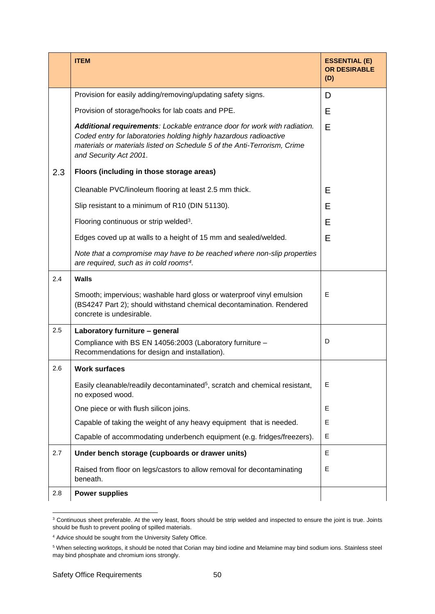|     | <b>ITEM</b>                                                                                                                                                                                                                                         | <b>ESSENTIAL (E)</b><br><b>OR DESIRABLE</b><br>(D) |
|-----|-----------------------------------------------------------------------------------------------------------------------------------------------------------------------------------------------------------------------------------------------------|----------------------------------------------------|
|     | Provision for easily adding/removing/updating safety signs.                                                                                                                                                                                         | D                                                  |
|     | Provision of storage/hooks for lab coats and PPE.                                                                                                                                                                                                   | E                                                  |
|     | Additional requirements: Lockable entrance door for work with radiation.<br>Coded entry for laboratories holding highly hazardous radioactive<br>materials or materials listed on Schedule 5 of the Anti-Terrorism, Crime<br>and Security Act 2001. | Е                                                  |
| 2.3 | Floors (including in those storage areas)                                                                                                                                                                                                           |                                                    |
|     | Cleanable PVC/linoleum flooring at least 2.5 mm thick.                                                                                                                                                                                              | E                                                  |
|     | Slip resistant to a minimum of R10 (DIN 51130).                                                                                                                                                                                                     | E                                                  |
|     | Flooring continuous or strip welded <sup>3</sup> .                                                                                                                                                                                                  | E                                                  |
|     | Edges coved up at walls to a height of 15 mm and sealed/welded.                                                                                                                                                                                     | E                                                  |
|     | Note that a compromise may have to be reached where non-slip properties<br>are required, such as in cold rooms <sup>4</sup> .                                                                                                                       |                                                    |
| 2.4 | <b>Walls</b>                                                                                                                                                                                                                                        |                                                    |
|     | Smooth; impervious; washable hard gloss or waterproof vinyl emulsion<br>(BS4247 Part 2); should withstand chemical decontamination. Rendered<br>concrete is undesirable.                                                                            | E                                                  |
| 2.5 | Laboratory furniture - general                                                                                                                                                                                                                      |                                                    |
|     | Compliance with BS EN 14056:2003 (Laboratory furniture -<br>Recommendations for design and installation).                                                                                                                                           | D                                                  |
| 2.6 | <b>Work surfaces</b>                                                                                                                                                                                                                                |                                                    |
|     | Easily cleanable/readily decontaminated <sup>5</sup> , scratch and chemical resistant,<br>no exposed wood.                                                                                                                                          | E                                                  |
|     | One piece or with flush silicon joins.                                                                                                                                                                                                              | E                                                  |
|     | Capable of taking the weight of any heavy equipment that is needed.                                                                                                                                                                                 | E                                                  |
|     | Capable of accommodating underbench equipment (e.g. fridges/freezers).                                                                                                                                                                              | E                                                  |
| 2.7 | Under bench storage (cupboards or drawer units)                                                                                                                                                                                                     | E                                                  |
|     | Raised from floor on legs/castors to allow removal for decontaminating<br>beneath.                                                                                                                                                                  | E                                                  |
| 2.8 | <b>Power supplies</b>                                                                                                                                                                                                                               |                                                    |

 $3$  Continuous sheet preferable. At the very least, floors should be strip welded and inspected to ensure the joint is true. Joints should be flush to prevent pooling of spilled materials.

-

<sup>4</sup> Advice should be sought from the University Safety Office.

<sup>5</sup> When selecting worktops, it should be noted that Corian may bind iodine and Melamine may bind sodium ions. Stainless steel may bind phosphate and chromium ions strongly.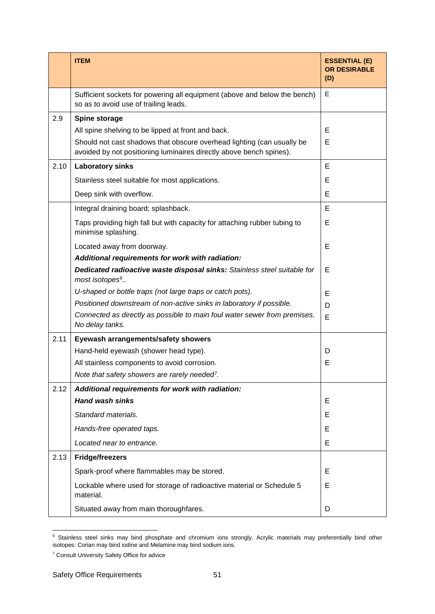|      | <b>ITEM</b>                                                                                                                                   | <b>ESSENTIAL (E)</b><br><b>OR DESIRABLE</b><br>(D) |
|------|-----------------------------------------------------------------------------------------------------------------------------------------------|----------------------------------------------------|
|      | Sufficient sockets for powering all equipment (above and below the bench)<br>so as to avoid use of trailing leads.                            | E                                                  |
| 2.9  | Spine storage                                                                                                                                 |                                                    |
|      | All spine shelving to be lipped at front and back.                                                                                            | Е                                                  |
|      | Should not cast shadows that obscure overhead lighting (can usually be<br>avoided by not positioning luminaires directly above bench spines). | E                                                  |
| 2.10 | <b>Laboratory sinks</b>                                                                                                                       | E                                                  |
|      | Stainless steel suitable for most applications.                                                                                               | E                                                  |
|      | Deep sink with overflow.                                                                                                                      | Е                                                  |
|      | Integral draining board; splashback.                                                                                                          | E                                                  |
|      | Taps providing high fall but with capacity for attaching rubber tubing to<br>minimise splashing.                                              | Е                                                  |
|      | Located away from doorway.                                                                                                                    | Е                                                  |
|      | Additional requirements for work with radiation:                                                                                              |                                                    |
|      | Dedicated radioactive waste disposal sinks: Stainless steel suitable for<br>most isotopes <sup>6</sup>                                        | E                                                  |
|      | U-shaped or bottle traps (not large traps or catch pots).                                                                                     | Е                                                  |
|      | Positioned downstream of non-active sinks in laboratory if possible.                                                                          | D                                                  |
|      | Connected as directly as possible to main foul water sewer from premises.<br>No delay tanks.                                                  | E                                                  |
| 2.11 | Eyewash arrangements/safety showers                                                                                                           |                                                    |
|      | Hand-held eyewash (shower head type).                                                                                                         | D                                                  |
|      | All stainless components to avoid corrosion.                                                                                                  | E                                                  |
|      | Note that safety showers are rarely needed <sup>7</sup> .                                                                                     |                                                    |
| 2.12 | Additional requirements for work with radiation:                                                                                              |                                                    |
|      | <b>Hand wash sinks</b>                                                                                                                        | E                                                  |
|      | Standard materials.                                                                                                                           | Е                                                  |
|      | Hands-free operated taps.                                                                                                                     | E                                                  |
|      | Located near to entrance.                                                                                                                     | E                                                  |
| 2.13 | <b>Fridge/freezers</b>                                                                                                                        |                                                    |
|      | Spark-proof where flammables may be stored.                                                                                                   | E                                                  |
|      | Lockable where used for storage of radioactive material or Schedule 5<br>material.                                                            | E                                                  |
|      | Situated away from main thoroughfares.                                                                                                        | D                                                  |

 $6$  Stainless steel sinks may bind phosphate and chromium ions strongly. Acrylic materials may preferentially bind other isotopes: Corian may bind iodine and Melamine may bind sodium ions.

-

<sup>7</sup> Consult University Safety Office for advice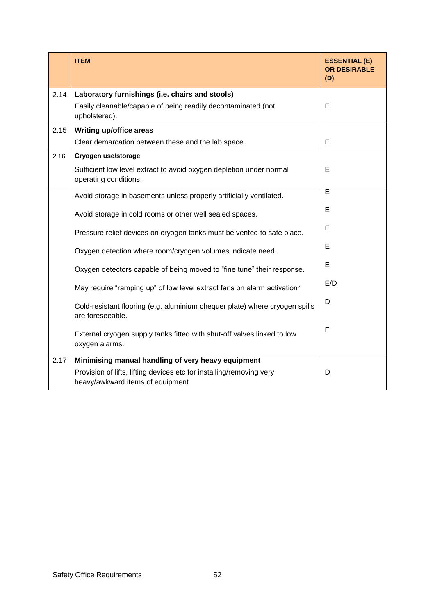|      | <b>ITEM</b>                                                                                                                                                    | <b>ESSENTIAL (E)</b><br><b>OR DESIRABLE</b><br>(D) |
|------|----------------------------------------------------------------------------------------------------------------------------------------------------------------|----------------------------------------------------|
| 2.14 | Laboratory furnishings (i.e. chairs and stools)<br>Easily cleanable/capable of being readily decontaminated (not<br>upholstered).                              | E                                                  |
| 2.15 | <b>Writing up/office areas</b>                                                                                                                                 |                                                    |
|      | Clear demarcation between these and the lab space.                                                                                                             | E                                                  |
| 2.16 | Cryogen use/storage                                                                                                                                            |                                                    |
|      | Sufficient low level extract to avoid oxygen depletion under normal<br>operating conditions.                                                                   | E                                                  |
|      | Avoid storage in basements unless properly artificially ventilated.                                                                                            | $\overline{E}$                                     |
|      | Avoid storage in cold rooms or other well sealed spaces.                                                                                                       | E                                                  |
|      | Pressure relief devices on cryogen tanks must be vented to safe place.                                                                                         | E                                                  |
|      | Oxygen detection where room/cryogen volumes indicate need.                                                                                                     | E                                                  |
|      | Oxygen detectors capable of being moved to "fine tune" their response.                                                                                         | E                                                  |
|      | May require "ramping up" of low level extract fans on alarm activation7                                                                                        | E/D                                                |
|      | Cold-resistant flooring (e.g. aluminium chequer plate) where cryogen spills<br>are foreseeable.                                                                | D                                                  |
|      | External cryogen supply tanks fitted with shut-off valves linked to low<br>oxygen alarms.                                                                      | E                                                  |
| 2.17 | Minimising manual handling of very heavy equipment<br>Provision of lifts, lifting devices etc for installing/removing very<br>heavy/awkward items of equipment | D                                                  |